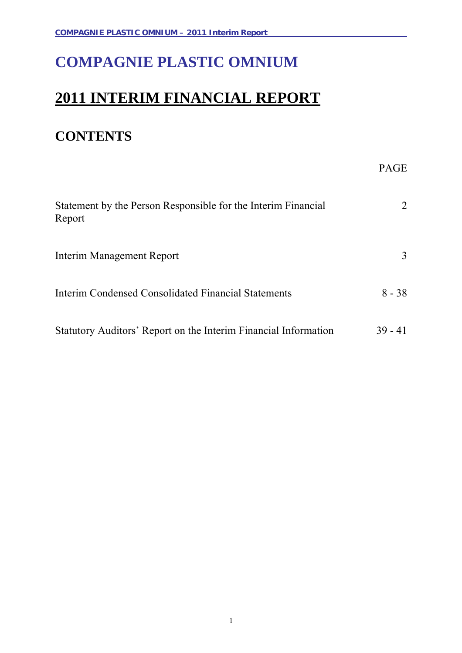# **COMPAGNIE PLASTIC OMNIUM**

# **2011 INTERIM FINANCIAL REPORT**

# **CONTENTS**

|                                                                         | 170 D          |
|-------------------------------------------------------------------------|----------------|
| Statement by the Person Responsible for the Interim Financial<br>Report | $\overline{2}$ |
| Interim Management Report                                               | 3              |
| Interim Condensed Consolidated Financial Statements                     | $8 - 38$       |
| Statutory Auditors' Report on the Interim Financial Information         | $39 - 41$      |

PAGE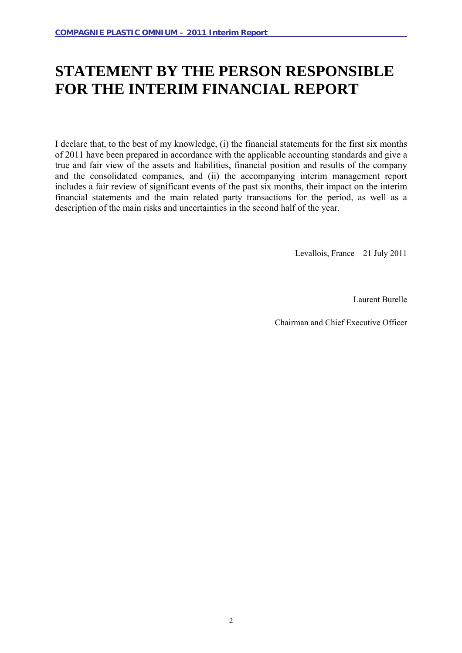# **STATEMENT BY THE PERSON RESPONSIBLE FOR THE INTERIM FINANCIAL REPORT**

I declare that, to the best of my knowledge, (i) the financial statements for the first six months of 2011 have been prepared in accordance with the applicable accounting standards and give a true and fair view of the assets and liabilities, financial position and results of the company and the consolidated companies, and (ii) the accompanying interim management report includes a fair review of significant events of the past six months, their impact on the interim financial statements and the main related party transactions for the period, as well as a description of the main risks and uncertainties in the second half of the year.

Levallois, France – 21 July 2011

Laurent Burelle

Chairman and Chief Executive Officer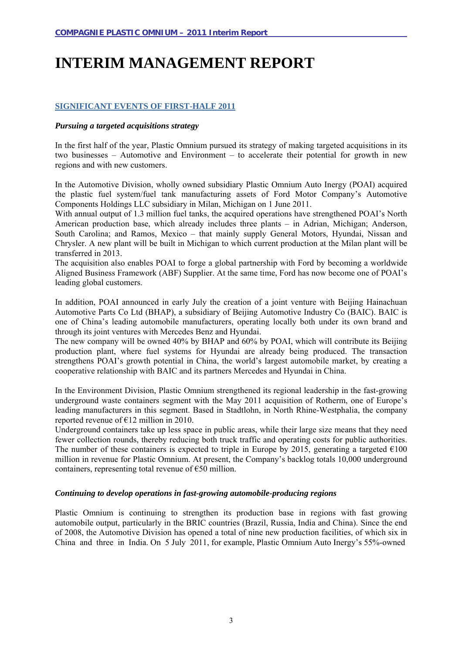# **INTERIM MANAGEMENT REPORT**

# **SIGNIFICANT EVENTS OF FIRST-HALF 2011**

# *Pursuing a targeted acquisitions strategy*

In the first half of the year, Plastic Omnium pursued its strategy of making targeted acquisitions in its two businesses – Automotive and Environment – to accelerate their potential for growth in new regions and with new customers.

In the Automotive Division, wholly owned subsidiary Plastic Omnium Auto Inergy (POAI) acquired the plastic fuel system/fuel tank manufacturing assets of Ford Motor Company's Automotive Components Holdings LLC subsidiary in Milan, Michigan on 1 June 2011.

With annual output of 1.3 million fuel tanks, the acquired operations have strengthened POAI's North American production base, which already includes three plants – in Adrian, Michigan; Anderson, South Carolina; and Ramos, Mexico – that mainly supply General Motors, Hyundai, Nissan and Chrysler. A new plant will be built in Michigan to which current production at the Milan plant will be transferred in 2013.

The acquisition also enables POAI to forge a global partnership with Ford by becoming a worldwide Aligned Business Framework (ABF) Supplier. At the same time, Ford has now become one of POAI's leading global customers.

In addition, POAI announced in early July the creation of a joint venture with Beijing Hainachuan Automotive Parts Co Ltd (BHAP), a subsidiary of Beijing Automotive Industry Co (BAIC). BAIC is one of China's leading automobile manufacturers, operating locally both under its own brand and through its joint ventures with Mercedes Benz and Hyundai.

The new company will be owned 40% by BHAP and 60% by POAI, which will contribute its Beijing production plant, where fuel systems for Hyundai are already being produced. The transaction strengthens POAI's growth potential in China, the world's largest automobile market, by creating a cooperative relationship with BAIC and its partners Mercedes and Hyundai in China.

In the Environment Division, Plastic Omnium strengthened its regional leadership in the fast-growing underground waste containers segment with the May 2011 acquisition of Rotherm, one of Europe's leading manufacturers in this segment. Based in Stadtlohn, in North Rhine-Westphalia, the company reported revenue of €12 million in 2010.

Underground containers take up less space in public areas, while their large size means that they need fewer collection rounds, thereby reducing both truck traffic and operating costs for public authorities. The number of these containers is expected to triple in Europe by 2015, generating a targeted  $\epsilon$ 100 million in revenue for Plastic Omnium. At present, the Company's backlog totals 10,000 underground containers, representing total revenue of  $\epsilon$ 50 million.

# *Continuing to develop operations in fast-growing automobile-producing regions*

Plastic Omnium is continuing to strengthen its production base in regions with fast growing automobile output, particularly in the BRIC countries (Brazil, Russia, India and China). Since the end of 2008, the Automotive Division has opened a total of nine new production facilities, of which six in China and three in India. On 5 July 2011, for example, Plastic Omnium Auto Inergy's 55%-owned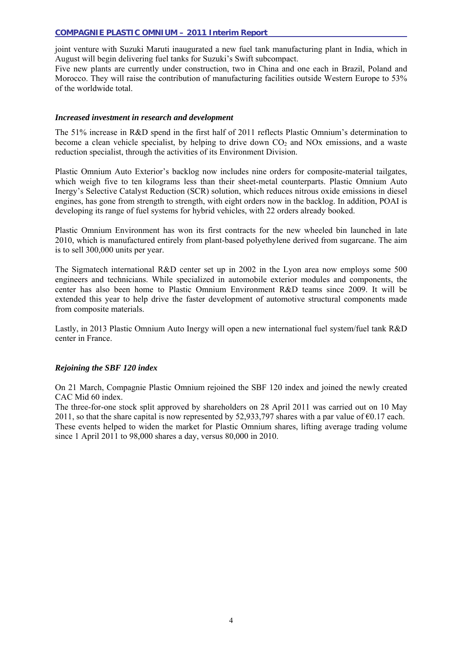joint venture with Suzuki Maruti inaugurated a new fuel tank manufacturing plant in India, which in August will begin delivering fuel tanks for Suzuki's Swift subcompact.

Five new plants are currently under construction, two in China and one each in Brazil, Poland and Morocco. They will raise the contribution of manufacturing facilities outside Western Europe to 53% of the worldwide total.

# *Increased investment in research and development*

The 51% increase in R&D spend in the first half of 2011 reflects Plastic Omnium's determination to become a clean vehicle specialist, by helping to drive down  $CO<sub>2</sub>$  and NO<sub>x</sub> emissions, and a waste reduction specialist, through the activities of its Environment Division.

Plastic Omnium Auto Exterior's backlog now includes nine orders for composite-material tailgates, which weigh five to ten kilograms less than their sheet-metal counterparts. Plastic Omnium Auto Inergy's Selective Catalyst Reduction (SCR) solution, which reduces nitrous oxide emissions in diesel engines, has gone from strength to strength, with eight orders now in the backlog. In addition, POAI is developing its range of fuel systems for hybrid vehicles, with 22 orders already booked.

Plastic Omnium Environment has won its first contracts for the new wheeled bin launched in late 2010, which is manufactured entirely from plant-based polyethylene derived from sugarcane. The aim is to sell 300,000 units per year.

The Sigmatech international R&D center set up in 2002 in the Lyon area now employs some 500 engineers and technicians. While specialized in automobile exterior modules and components, the center has also been home to Plastic Omnium Environment R&D teams since 2009. It will be extended this year to help drive the faster development of automotive structural components made from composite materials.

Lastly, in 2013 Plastic Omnium Auto Inergy will open a new international fuel system/fuel tank R&D center in France.

# *Rejoining the SBF 120 index*

On 21 March, Compagnie Plastic Omnium rejoined the SBF 120 index and joined the newly created CAC Mid 60 index.

The three-for-one stock split approved by shareholders on 28 April 2011 was carried out on 10 May 2011, so that the share capital is now represented by 52,933,797 shares with a par value of €0.17 each. These events helped to widen the market for Plastic Omnium shares, lifting average trading volume since 1 April 2011 to 98,000 shares a day, versus 80,000 in 2010.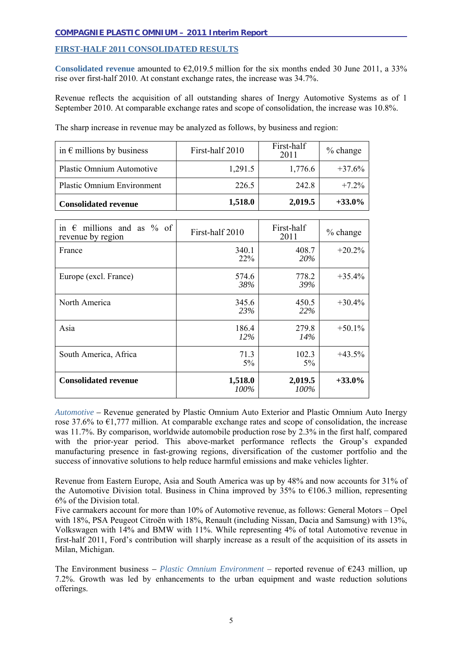# **FIRST-HALF 2011 CONSOLIDATED RESULTS**

Consolidated revenue amounted to  $\epsilon$ 2,019.5 million for the six months ended 30 June 2011, a 33% rise over first-half 2010. At constant exchange rates, the increase was 34.7%.

Revenue reflects the acquisition of all outstanding shares of Inergy Automotive Systems as of 1 September 2010. At comparable exchange rates and scope of consolidation, the increase was 10.8%.

| <b>Consolidated revenue</b>        | 1,518.0         | 2,019.5            | $+33.0\%$  |
|------------------------------------|-----------------|--------------------|------------|
| <b>Plastic Omnium Environment</b>  | 226.5           | 242.8              | $+7.2\%$   |
| Plastic Omnium Automotive          | 1,291.5         | 1,776.6            | $+37.6%$   |
| in $\epsilon$ millions by business | First-half 2010 | First-half<br>2011 | $%$ change |

The sharp increase in revenue may be analyzed as follows, by business and region:

| in $\epsilon$ millions and as % of<br>revenue by region | First-half 2010    | First-half<br>2011  | $%$ change |
|---------------------------------------------------------|--------------------|---------------------|------------|
| France                                                  | 340.1<br>$22\%$    | 408.7<br><b>20%</b> | $+20.2%$   |
| Europe (excl. France)                                   | 574.6<br>38%       | 778.2<br>39%        | $+35.4%$   |
| North America                                           | 345.6<br>23%       | 450.5<br>22%        | $+30.4%$   |
| Asia                                                    | 186.4<br>$12\%$    | 279.8<br>14%        | $+50.1\%$  |
| South America, Africa                                   | 71.3<br>5%         | 102.3<br>$5\%$      | $+43.5%$   |
| <b>Consolidated revenue</b>                             | 1,518.0<br>$100\%$ | 2,019.5<br>100%     | $+33.0\%$  |

*Automotive –* Revenue generated by Plastic Omnium Auto Exterior and Plastic Omnium Auto Inergy rose 37.6% to €1,777 million. At comparable exchange rates and scope of consolidation, the increase was 11.7%. By comparison, worldwide automobile production rose by 2.3% in the first half, compared with the prior-year period. This above-market performance reflects the Group's expanded manufacturing presence in fast-growing regions, diversification of the customer portfolio and the success of innovative solutions to help reduce harmful emissions and make vehicles lighter.

Revenue from Eastern Europe, Asia and South America was up by 48% and now accounts for 31% of the Automotive Division total. Business in China improved by  $35\%$  to  $6106.3$  million, representing 6% of the Division total.

Five carmakers account for more than 10% of Automotive revenue, as follows: General Motors – Opel with 18%, PSA Peugeot Citroën with 18%, Renault (including Nissan, Dacia and Samsung) with 13%, Volkswagen with 14% and BMW with 11%. While representing 4% of total Automotive revenue in first-half 2011, Ford's contribution will sharply increase as a result of the acquisition of its assets in Milan, Michigan.

The Environment business *– Plastic Omnium Environment* – reported revenue of  $\epsilon$ 243 million, up 7.2%. Growth was led by enhancements to the urban equipment and waste reduction solutions offerings.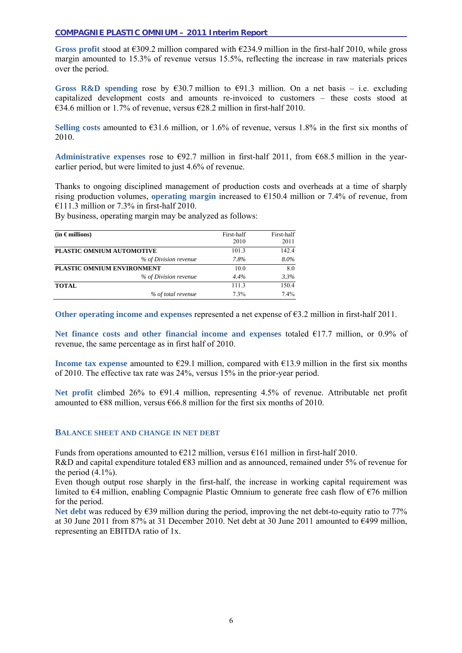Gross profit stood at  $\epsilon$ 309.2 million compared with  $\epsilon$ 234.9 million in the first-half 2010, while gross margin amounted to 15.3% of revenue versus 15.5%, reflecting the increase in raw materials prices over the period.

Gross R&D spending rose by  $\epsilon$ 30.7 million to  $\epsilon$ 91.3 million. On a net basis – i.e. excluding capitalized development costs and amounts re-invoiced to customers – these costs stood at €34.6 million or 1.7% of revenue, versus €28.2 million in first-half 2010.

**Selling costs** amounted to €31.6 million, or 1.6% of revenue, versus 1.8% in the first six months of 2010.

**Administrative expenses** rose to €92.7 million in first-half 2011, from €68.5 million in the yearearlier period, but were limited to just 4.6% of revenue.

Thanks to ongoing disciplined management of production costs and overheads at a time of sharply rising production volumes, **operating margin** increased to €150.4 million or 7.4% of revenue, from  $£111.3$  million or 7.3% in first-half 2010.

By business, operating margin may be analyzed as follows:

| $(in$ $\in$ millions)      |                       | First-half | First-half |
|----------------------------|-----------------------|------------|------------|
|                            |                       | 2010       | 2011       |
| PLASTIC OMNIUM AUTOMOTIVE  |                       | 101.3      | 142.4      |
|                            | % of Division revenue | 7.8%       | 8.0%       |
| PLASTIC OMNIUM ENVIRONMENT |                       | 10.0       | 8.0        |
|                            | % of Division revenue | 4.4%       | 3.3%       |
| <b>TOTAL</b>               |                       | 111.3      | 150.4      |
|                            | % of total revenue    | 7.3%       | 7.4%       |

**Other operating income and expenses** represented a net expense of €3.2 million in first-half 2011.

**Net finance costs and other financial income and expenses** totaled €17.7 million, or 0.9% of revenue, the same percentage as in first half of 2010.

**Income tax expense amounted to**  $E29.1$  **million, compared with**  $E13.9$  **million in the first six months** of 2010. The effective tax rate was 24%, versus 15% in the prior-year period.

**Net profit** climbed 26% to €91.4 million, representing 4.5% of revenue. Attributable net profit amounted to  $\epsilon$ 88 million, versus  $\epsilon$ 66.8 million for the first six months of 2010.

# **BALANCE SHEET AND CHANGE IN NET DEBT**

Funds from operations amounted to  $\epsilon$ 212 million, versus  $\epsilon$ 161 million in first-half 2010.

R&D and capital expenditure totaled €83 million and as announced, remained under 5% of revenue for the period  $(4.1\%)$ .

Even though output rose sharply in the first-half, the increase in working capital requirement was limited to €4 million, enabling Compagnie Plastic Omnium to generate free cash flow of €76 million for the period.

Net debt was reduced by  $\epsilon$ 39 million during the period, improving the net debt-to-equity ratio to 77% at 30 June 2011 from 87% at 31 December 2010. Net debt at 30 June 2011 amounted to €499 million, representing an EBITDA ratio of 1x.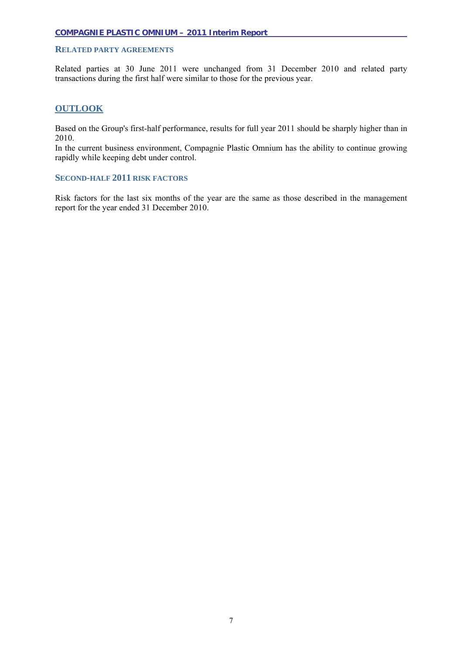# **RELATED PARTY AGREEMENTS**

Related parties at 30 June 2011 were unchanged from 31 December 2010 and related party transactions during the first half were similar to those for the previous year.

# **OUTLOOK**

Based on the Group's first-half performance, results for full year 2011 should be sharply higher than in 2010.

In the current business environment, Compagnie Plastic Omnium has the ability to continue growing rapidly while keeping debt under control.

# **SECOND-HALF 2011 RISK FACTORS**

Risk factors for the last six months of the year are the same as those described in the management report for the year ended 31 December 2010.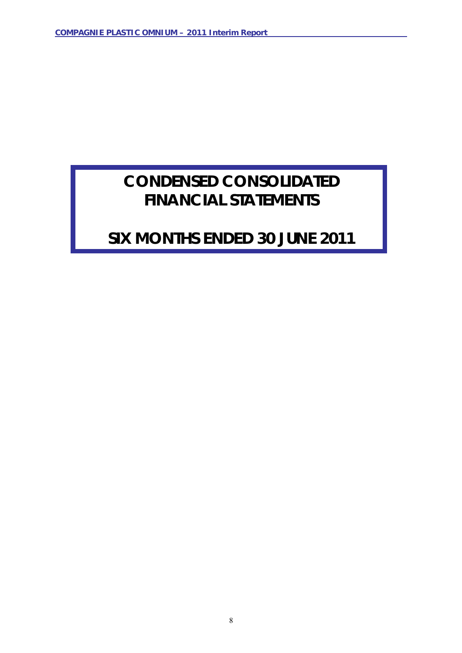# **CONDENSED CONSOLIDATED FINANCIAL STATEMENTS**

# **SIX MONTHS ENDED 30 JUNE 2011**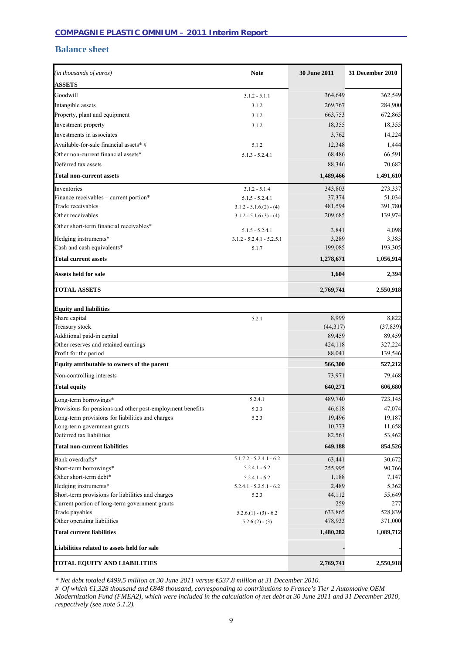# **Balance sheet**

| (in thousands of euros)                                    | <b>Note</b>                 | <b>30 June 2011</b> | 31 December 2010 |
|------------------------------------------------------------|-----------------------------|---------------------|------------------|
| <b>ASSETS</b>                                              |                             |                     |                  |
| Goodwill                                                   | $3.1.2 - 5.1.1$             | 364,649             | 362,549          |
| Intangible assets                                          | 3.1.2                       | 269,767             | 284,900          |
| Property, plant and equipment                              | 3.1.2                       | 663,753             | 672,865          |
|                                                            |                             |                     |                  |
| Investment property                                        | 3.1.2                       | 18,355              | 18,355           |
| Investments in associates                                  |                             | 3,762               | 14,224           |
| Available-for-sale financial assets* #                     | 5.1.2                       | 12,348              | 1,444            |
| Other non-current financial assets*                        | $5.1.3 - 5.2.4.1$           | 68,486              | 66,591           |
| Deferred tax assets                                        |                             | 88,346              | 70,682           |
| <b>Total non-current assets</b>                            |                             | 1,489,466           | 1,491,610        |
| Inventories                                                | $3.1.2 - 5.1.4$             | 343,803             | 273,337          |
| Finance receivables – current portion*                     | $5.1.5 - 5.2.4.1$           | 37,374              | 51,034           |
| Trade receivables                                          | $3.1.2 - 5.1.6(2) - (4)$    | 481,594             | 391,780          |
| Other receivables                                          | $3.1.2 - 5.1.6(3) - (4)$    | 209,685             | 139,974          |
| Other short-term financial receivables*                    | $5.1.5 - 5.2.4.1$           | 3,841               | 4,098            |
| Hedging instruments*                                       | $3.1.2 - 5.2.4.1 - 5.2.5.1$ | 3,289               | 3,385            |
| Cash and cash equivalents*                                 | 5.1.7                       | 199,085             | 193,305          |
| <b>Total current assets</b>                                |                             | 1,278,671           | 1,056,914        |
|                                                            |                             |                     |                  |
| <b>Assets held for sale</b>                                |                             | 1,604               | 2,394            |
| <b>TOTAL ASSETS</b>                                        |                             | 2,769,741           | 2,550,918        |
| <b>Equity and liabilities</b>                              |                             |                     |                  |
| Share capital                                              | 5.2.1                       | 8,999               | 8,822            |
| Treasury stock                                             |                             | (44, 317)           | (37, 839)        |
| Additional paid-in capital                                 |                             | 89,459              | 89,459           |
| Other reserves and retained earnings                       |                             | 424,118             | 327,224          |
| Profit for the period                                      |                             | 88,041              | 139,546          |
| Equity attributable to owners of the parent                |                             | 566,300             | 527,212          |
| Non-controlling interests                                  |                             | 73,971              | 79,468           |
| <b>Total equity</b>                                        |                             | 640,271             | 606,680          |
| Long-term borrowings*                                      | 5.2.4.1                     | 489,740             | 723,145          |
| Provisions for pensions and other post-employment benefits | 5.2.3                       | 46,618              | 47,074           |
| Long-term provisions for liabilities and charges           | 5.2.3                       | 19,496              | 19,187           |
| Long-term government grants                                |                             | 10,773              | 11,658           |
| Deferred tax liabilities                                   |                             | 82,561              | 53,462           |
| <b>Total non-current liabilities</b>                       |                             | 649,188             | 854,526          |
| Bank overdrafts*                                           | $5.1.7.2 - 5.2.4.1 - 6.2$   | 63,441              | 30,672           |
| Short-term borrowings*                                     | $5.2.4.1 - 6.2$             | 255,995             | 90,766           |
| Other short-term debt*                                     | $5.2.4.1 - 6.2$             | 1,188               | 7,147            |
| Hedging instruments*                                       | $5.2.4.1 - 5.2.5.1 - 6.2$   | 2,489               | 5,362            |
| Short-term provisions for liabilities and charges          | 5.2.3                       | 44,112              | 55,649           |
| Current portion of long-term government grants             |                             | 259                 | 277              |
| Trade payables                                             | $5.2.6(1) - (3) - 6.2$      | 633,865             | 528,839          |
| Other operating liabilities                                | $5.2.6(2) - (3)$            | 478,933             | 371,000          |
| <b>Total current liabilities</b>                           |                             | 1,480,282           | 1,089,712        |
| Liabilities related to assets held for sale                |                             |                     |                  |
| TOTAL EQUITY AND LIABILITIES                               |                             | 2,769,741           | 2,550,918        |

*\* Net debt totaled €499.5 million at 30 June 2011 versus €537.8 million at 31 December 2010.* 

*# Of which €1,328 thousand and €848 thousand, corresponding to contributions to France's Tier 2 Automotive OEM Modernization Fund (FMEA2), which were included in the calculation of net debt at 30 June 2011 and 31 December 2010, respectively (see note 5.1.2).*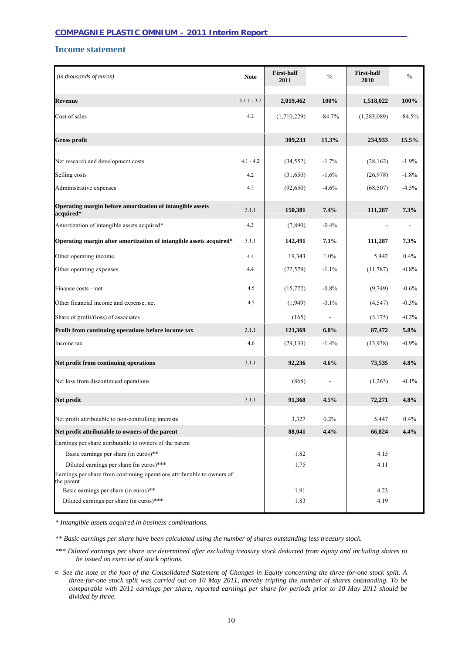# **Income statement**

| (in thousands of euros)                                                               | <b>Note</b>   | <b>First-half</b><br>2011 | $\frac{0}{0}$  | <b>First-half</b><br>2010 | $\frac{0}{0}$  |
|---------------------------------------------------------------------------------------|---------------|---------------------------|----------------|---------------------------|----------------|
| <b>Revenue</b>                                                                        | $3.1.1 - 3.2$ | 2,019,462                 | 100%           | 1,518,022                 | 100%           |
| Cost of sales                                                                         | 4.2           | (1,710,229)               | $-84.7%$       | (1,283,089)               | $-84.5%$       |
| <b>Gross profit</b>                                                                   |               | 309,233                   | 15.3%          | 234,933                   | 15.5%          |
| Net research and development costs                                                    | $4.1 - 4.2$   | (34, 552)                 | $-1.7%$        | (28, 162)                 | $-1.9%$        |
| Selling costs                                                                         | 4.2           | (31,650)                  | $-1.6%$        | (26,978)                  | $-1.8%$        |
| Administrative expenses                                                               | 4.2           | (92,650)                  | $-4.6%$        | (68, 507)                 | $-4.5%$        |
| Operating margin before amortization of intangible assets<br>acquired*                | 3.1.1         | 150,381                   | $7.4\%$        | 111,287                   | 7.3%           |
| Amortization of intangible assets acquired*                                           | 4.3           | (7,890)                   | $-0.4%$        |                           | $\blacksquare$ |
| Operating margin after amortization of intangible assets acquired*                    | 3.1.1         | 142,491                   | 7.1%           | 111,287                   | 7.3%           |
| Other operating income                                                                | 4.4           | 19,343                    | 1.0%           | 5,442                     | 0.4%           |
| Other operating expenses                                                              | 4.4           | (22, 579)                 | $-1.1%$        | (11, 787)                 | $-0.8%$        |
| Finance costs – net                                                                   | 4.5           | (15,772)                  | $-0.8%$        | (9,749)                   | $-0.6%$        |
| Other financial income and expense, net                                               | 4.5           | (1,949)                   | $-0.1%$        | (4, 547)                  | $-0.3%$        |
| Share of profit/(loss) of associates                                                  |               | (165)                     | $\blacksquare$ | (3,175)                   | $-0.2%$        |
| Profit from continuing operations before income tax                                   | 3.1.1         | 121,369                   | 6.0%           | 87,472                    | 5.8%           |
| Income tax                                                                            | 4.6           | (29, 133)                 | $-1.4%$        | (13,938)                  | $-0.9%$        |
| Net profit from continuing operations                                                 | 3.1.1         | 92,236                    | 4.6%           | 73,535                    | 4.8%           |
| Net loss from discontinued operations                                                 |               | (868)                     |                | (1,263)                   | $-0.1%$        |
| Net profit                                                                            | 3.1.1         | 91,368                    | 4.5%           | 72,271                    | 4.8%           |
| Net profit attributable to non-controlling interests                                  |               | 3,327                     | 0.2%           | 5,447                     | 0.4%           |
| Net profit attributable to owners of the parent                                       |               | 88,041                    | 4.4%           | 66,824                    | 4.4%           |
| Earnings per share attributable to owners of the parent                               |               |                           |                |                           |                |
| Basic earnings per share (in euros)**                                                 |               | 1.82                      |                | 4.15                      |                |
| Diluted earnings per share (in euros)***                                              |               | 1.75                      |                | 4.11                      |                |
| Earnings per share from continuing operations attributable to owners of<br>the parent |               |                           |                |                           |                |
| Basic earnings per share (in euros)**                                                 |               | 1.91                      |                | 4.23                      |                |
| Diluted earnings per share (in euros)***                                              |               | 1.83                      |                | 4.19                      |                |

*\* Intangible assets acquired in business combinations.* 

*\*\* Basic earnings per share have been calculated using the number of shares outstanding less treasury stock.* 

*\*\*\* Diluted earnings per share are determined after excluding treasury stock deducted from equity and including shares to be issued on exercise of stock options***.** 

*¤ See the note at the foot of the Consolidated Statement of Changes in Equity concerning the three-for-one stock split. A three-for-one stock split was carried out on 10 May 2011, thereby tripling the number of shares outstanding. To be comparable with 2011 earnings per share, reported earnings per share for periods prior to 10 May 2011 should be divided by three.*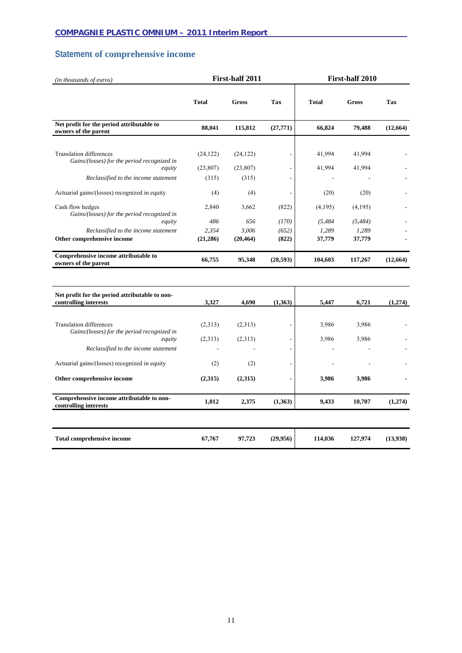# **Statement of comprehensive income**

| ( <i>in thousands of euros</i> )                                                        | First-half 2011        |                        |                | First-half 2010    |                    |           |  |
|-----------------------------------------------------------------------------------------|------------------------|------------------------|----------------|--------------------|--------------------|-----------|--|
|                                                                                         | <b>Total</b>           | <b>Gross</b>           | Tax            | <b>Total</b>       | Gross              | Tax       |  |
| Net profit for the period attributable to<br>owners of the parent                       | 88,041                 | 115,812                | (27,771)       | 66,824             | 79,488             | (12, 664) |  |
| <b>Translation differences</b><br>Gains/(losses) for the period recognized in<br>equity | (24, 122)<br>(23, 807) | (24, 122)<br>(23, 807) |                | 41,994<br>41,994   | 41,994<br>41,994   |           |  |
| Reclassified to the income statement                                                    | (315)                  | (315)                  |                |                    |                    |           |  |
| Actuarial gains/(losses) recognized in equity                                           | (4)                    | (4)                    |                | (20)               | (20)               |           |  |
| Cash flow hedges<br>Gains/(losses) for the period recognized in<br>equity               | 2,840<br>486           | 3,662<br>656           | (822)<br>(170) | (4,195)<br>(5,484) | (4,195)<br>(5,484) |           |  |
| Reclassified to the income statement<br>Other comprehensive income                      | 2,354<br>(21, 286)     | 3.006<br>(20, 464)     | (652)<br>(822) | 1,289<br>37,779    | 1,289<br>37,779    |           |  |
| Comprehensive income attributable to<br>owners of the parent                            | 66,755                 | 95,348                 | (28, 593)      | 104,603            | 117,267            | (12,664)  |  |
|                                                                                         |                        |                        |                |                    |                    |           |  |
| Net profit for the period attributable to non-<br>controlling interests                 | 3,327                  | 4,690                  | (1,363)        | 5,447              | 6,721              | (1,274)   |  |
| <b>Translation differences</b><br>Gains/(losses) for the period recognized in           | (2,313)                | (2,313)                |                | 3,986              | 3.986              |           |  |
| equity                                                                                  | (2,313)                | (2,313)                |                | 3,986              | 3,986              |           |  |
| Reclassified to the income statement                                                    |                        |                        |                |                    |                    |           |  |
| Actuarial gains/(losses) recognized in equity                                           | (2)                    | (2)                    |                |                    |                    |           |  |
| Other comprehensive income                                                              | (2,315)                | (2,315)                |                | 3,986              | 3,986              |           |  |
| Comprehensive income attributable to non-<br>controlling interests                      | 1,012                  | 2,375                  | (1,363)        | 9,433              | 10,707             | (1,274)   |  |
| <b>Total comprehensive income</b>                                                       | 67,767                 | 97,723                 | (29,956)       | 114,036            | 127,974            | (13,938)  |  |
|                                                                                         |                        |                        |                |                    |                    |           |  |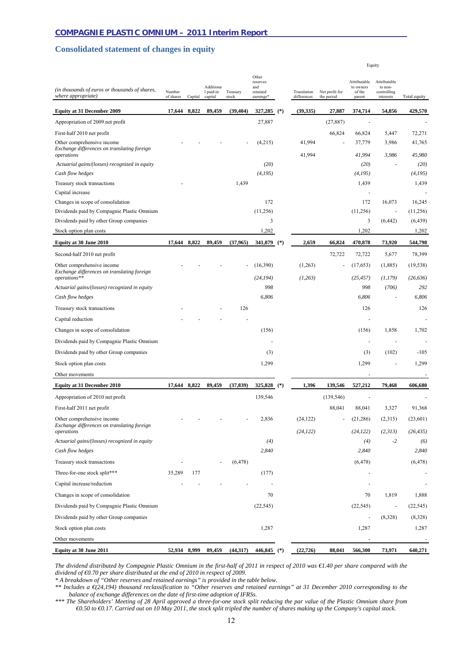# **Consolidated statement of changes in equity**

|                                                                                           |                     |         |                                   |                   |                                                   |       |                            |                              | Equity                                        |                                                     |                        |
|-------------------------------------------------------------------------------------------|---------------------|---------|-----------------------------------|-------------------|---------------------------------------------------|-------|----------------------------|------------------------------|-----------------------------------------------|-----------------------------------------------------|------------------------|
| (in thousands of euros or thousands of shares,<br>where appropriate)                      | Number<br>of shares | Capital | Additiona<br>1 paid-in<br>capital | Treasury<br>stock | Other<br>reserves<br>and<br>retained<br>earnings* |       | Translation<br>differences | Net profit for<br>the period | Attributable<br>to owners<br>of the<br>parent | Attributable<br>to non-<br>controlling<br>interests | Total equity           |
| <b>Equity at 31 December 2009</b>                                                         | 17,644              | 8,822   | 89,459                            | (39, 404)         | 327,285                                           | $(*)$ | (39, 335)                  | 27,887                       | 374,714                                       | 54,856                                              | 429,570                |
| Appropriation of 2009 net profit                                                          |                     |         |                                   |                   | 27,887                                            |       |                            | (27, 887)                    |                                               |                                                     |                        |
| First-half 2010 net profit                                                                |                     |         |                                   |                   |                                                   |       |                            | 66,824                       | 66,824                                        | 5,447                                               | 72,271                 |
| Other comprehensive income<br>Exchange differences on translating foreign<br>operations   |                     |         |                                   |                   | (4,215)                                           |       | 41,994<br>41,994           |                              | 37,779<br>41,994                              | 3,986<br>3,986                                      | 41,765<br>45,980       |
| Actuarial gains/(losses) recognized in equity                                             |                     |         |                                   |                   | (20)                                              |       |                            |                              | (20)                                          |                                                     | (20)                   |
| Cash flow hedges                                                                          |                     |         |                                   |                   | (4, 195)                                          |       |                            |                              | (4,195)                                       |                                                     | (4, 195)               |
| Treasury stock transactions                                                               |                     |         |                                   | 1,439             |                                                   |       |                            |                              | 1,439                                         |                                                     | 1,439                  |
| Capital increase                                                                          |                     |         |                                   |                   |                                                   |       |                            |                              |                                               |                                                     |                        |
| Changes in scope of consolidation                                                         |                     |         |                                   |                   | 172                                               |       |                            |                              | 172                                           | 16,073                                              | 16,245                 |
| Dividends paid by Compagnie Plastic Omnium                                                |                     |         |                                   |                   | (11,256)                                          |       |                            |                              | (11,256)                                      | ÷,                                                  | (11,256)               |
| Dividends paid by other Group companies                                                   |                     |         |                                   |                   | 3                                                 |       |                            |                              | 3                                             | (6, 442)                                            | (6, 439)               |
| Stock option plan costs                                                                   |                     |         |                                   |                   | 1,202                                             |       |                            |                              | 1,202                                         |                                                     | 1,202                  |
| Equity at 30 June 2010                                                                    | 17.644              | 8,822   | 89,459                            | (37, 965)         | 341,079                                           | $(*)$ | 2,659                      | 66,824                       | 470,878                                       | 73,920                                              | 544,798                |
| Second-half 2010 net profit                                                               |                     |         |                                   |                   |                                                   |       |                            | 72,722                       | 72,722                                        | 5,677                                               | 78,399                 |
| Other comprehensive income<br>Exchange differences on translating foreign<br>operations** |                     |         |                                   |                   | (16,390)<br>(24, 194)                             |       | (1,263)<br>(1,263)         |                              | (17,653)<br>(25, 457)                         | (1,885)<br>(1,179)                                  | (19, 538)<br>(26, 636) |
| Actuarial gains/(losses) recognized in equity                                             |                     |         |                                   |                   | 998                                               |       |                            |                              | 998                                           | (706)                                               | 292                    |
| Cash flow hedges                                                                          |                     |         |                                   |                   | 6,806                                             |       |                            |                              | 6,806                                         |                                                     | 6,806                  |
| Treasury stock transactions                                                               |                     |         |                                   | 126               |                                                   |       |                            |                              | 126                                           |                                                     | 126                    |
| Capital reduction                                                                         |                     |         |                                   |                   |                                                   |       |                            |                              |                                               |                                                     |                        |
| Changes in scope of consolidation                                                         |                     |         |                                   |                   | (156)                                             |       |                            |                              | (156)                                         | 1,858                                               | 1,702                  |
| Dividends paid by Compagnie Plastic Omnium                                                |                     |         |                                   |                   |                                                   |       |                            |                              |                                               |                                                     |                        |
| Dividends paid by other Group companies                                                   |                     |         |                                   |                   | (3)                                               |       |                            |                              | (3)                                           | (102)                                               | $-105$                 |
| Stock option plan costs                                                                   |                     |         |                                   |                   | 1,299                                             |       |                            |                              | 1,299                                         |                                                     | 1,299                  |
| Other movements                                                                           |                     |         |                                   |                   |                                                   |       |                            |                              |                                               |                                                     | $\sim$                 |
| <b>Equity at 31 December 2010</b>                                                         | 17,644 8,822        |         | 89,459                            | (37, 839)         | 325,828                                           | $(*)$ | 1,396                      | 139,546                      | 527,212                                       | 79,468                                              | 606.680                |
| Appropriation of 2010 net profit                                                          |                     |         |                                   |                   | 139,546                                           |       |                            | (139, 546)                   |                                               |                                                     |                        |
| First-half 2011 net profit                                                                |                     |         |                                   |                   |                                                   |       |                            | 88,041                       | 88,041                                        | 3,327                                               | 91,368                 |
| Other comprehensive income<br>Exchange differences on translating foreign                 |                     |         |                                   |                   | 2,836                                             |       | (24, 122)                  |                              | (21, 286)                                     | (2,315)                                             | (23,601)               |
| operations<br>Actuarial gains/(losses) recognized in equity                               |                     |         |                                   |                   | (4)                                               |       | (24, 122)                  |                              | (24, 122)                                     | (2,313)<br>$-2$                                     | (26, 435)              |
| Cash flow hedges                                                                          |                     |         |                                   |                   | 2,840                                             |       |                            |                              | (4)<br>2,840                                  |                                                     | (6)<br>2,840           |
| Treasury stock transactions                                                               |                     |         |                                   | (6, 478)          |                                                   |       |                            |                              | (6, 478)                                      |                                                     | (6, 478)               |
| Three-for-one stock split***                                                              | 35,289              | 177     |                                   |                   | (177)                                             |       |                            |                              |                                               |                                                     |                        |
| Capital increase/reduction                                                                |                     |         |                                   |                   |                                                   |       |                            |                              |                                               |                                                     |                        |
|                                                                                           |                     |         |                                   |                   | 70                                                |       |                            |                              | 70                                            |                                                     | 1,888                  |
| Changes in scope of consolidation<br>Dividends paid by Compagnie Plastic Omnium           |                     |         |                                   |                   |                                                   |       |                            |                              |                                               | 1,819<br>÷,                                         |                        |
|                                                                                           |                     |         |                                   |                   | (22, 545)                                         |       |                            |                              | (22, 545)                                     |                                                     | (22, 545)              |
| Dividends paid by other Group companies                                                   |                     |         |                                   |                   |                                                   |       |                            |                              |                                               | (8,328)                                             | (8,328)                |
| Stock option plan costs                                                                   |                     |         |                                   |                   | 1,287                                             |       |                            |                              | 1,287                                         |                                                     | 1,287                  |
| Other movements                                                                           |                     |         |                                   |                   |                                                   |       |                            |                              |                                               |                                                     |                        |
| Equity at 30 June 2011                                                                    | 52,934 8,999        |         | 89,459                            | (44, 317)         | 446,845 (*)                                       |       | (22, 726)                  | 88,041                       | 566,300                                       | 73,971                                              | 640,271                |

*The dividend distributed by Compagnie Plastic Omnium in the first-half of 2011 in respect of 2010 was €1.40 per share compared with the dividend of €0.70 per share distributed at the end of 2010 in respect of 2009.* 

*\* A breakdown of "Other reserves and retained earnings" is provided in the table below.* 

*\*\* Includes a €(24,194) thousand reclassification to "Other reserves and retained earnings" at 31 December 2010 corresponding to the balance of exchange differences on the date of first-time adoption of IFRSs.* 

*\*\*\* The Shareholders' Meeting of 28 April approved a three-for-one stock split reducing the par value of the Plastic Omnium share from €0.50 to €0.17. Carried out on 10 May 2011, the stock split tripled the number of shares making up the Company's capital stock.*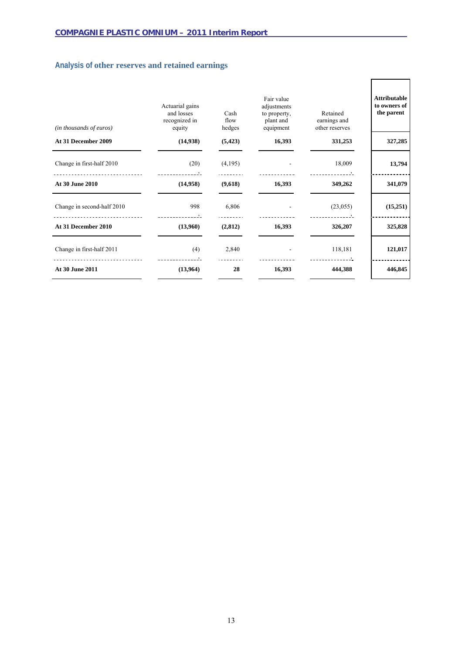# **Analysis of other reserves and retained earnings**

| (in thousands of euros)    | Actuarial gains<br>and losses<br>recognized in<br>equity | Cash<br>flow<br>hedges | Fair value<br>adjustments<br>to property,<br>plant and<br>equipment | Retained<br>earnings and<br>other reserves | <b>Attributable</b><br>to owners of<br>the parent |
|----------------------------|----------------------------------------------------------|------------------------|---------------------------------------------------------------------|--------------------------------------------|---------------------------------------------------|
| At 31 December 2009        | (14,938)                                                 | (5, 423)               | 16,393                                                              | 331,253                                    | 327,285                                           |
| Change in first-half 2010  | (20)<br>---------------                                  | (4,195)                |                                                                     | 18,009                                     | 13,794                                            |
| At 30 June 2010            | (14,958)                                                 | (9,618)                | 16,393                                                              | 349,262                                    | 341,079                                           |
| Change in second-half 2010 | 998                                                      | 6,806                  |                                                                     | (23,055)<br>---------------                | (15,251)                                          |
| At 31 December 2010        | (13,960)                                                 | (2,812)                | 16,393                                                              | 326,207                                    | 325,828                                           |
| Change in first-half 2011  | (4)                                                      | 2,840                  |                                                                     | 118,181                                    | 121,017                                           |
| At 30 June 2011            | (13,964)                                                 | 28                     | 16,393                                                              | 444,388                                    | 446,845                                           |

٦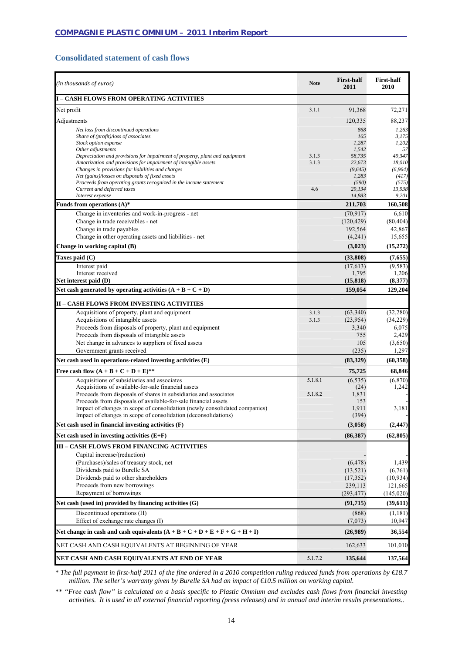# **Consolidated statement of cash flows**

| (in thousands of euros)                                                                                                                      | <b>Note</b> | <b>First-half</b><br>2011 | <b>First-half</b><br>2010 |
|----------------------------------------------------------------------------------------------------------------------------------------------|-------------|---------------------------|---------------------------|
| <b>I – CASH FLOWS FROM OPERATING ACTIVITIES</b>                                                                                              |             |                           |                           |
| Net profit                                                                                                                                   | 3.1.1       | 91,368                    | 72,271                    |
| Adjustments                                                                                                                                  |             | 120,335                   | 88,237                    |
| Net loss from discontinued operations                                                                                                        |             | 868                       | 1,263                     |
| Share of (profit)/loss of associates                                                                                                         |             | 165<br>1,287              | 3,175<br>1,202            |
| Stock option expense<br>Other adjustments                                                                                                    |             | 1,542                     | 57                        |
| Depreciation and provisions for impairment of property, plant and equipment                                                                  | 3.1.3       | 58,735                    | 49,347                    |
| Amortization and provisions for impairment of intangible assets                                                                              | 3.1.3       | 22,673                    | 18,010                    |
| Changes in provisions for liabilities and charges<br>Net (gains)/losses on disposals of fixed assets                                         |             | (9,645)<br>1,283          | (6, 964)<br>(417)         |
| Proceeds from operating grants recognized in the income statement                                                                            |             | (590)                     | (575)                     |
| Current and deferred taxes                                                                                                                   | 4.6         | 29,134                    | 13,938                    |
| Interest expense                                                                                                                             |             | 14,883                    | 9,201                     |
| Funds from operations $(A)^*$                                                                                                                |             | 211,703<br>(70, 917)      | 160,508                   |
| Change in inventories and work-in-progress - net<br>Change in trade receivables - net                                                        |             | (120, 429)                | 6,610<br>(80, 404)        |
| Change in trade payables                                                                                                                     |             | 192,564                   | 42,867                    |
| Change in other operating assets and liabilities - net                                                                                       |             | (4,241)                   | 15,655                    |
| Change in working capital (B)                                                                                                                |             | (3,023)                   | (15,272)                  |
| Taxes paid (C)                                                                                                                               |             | (33,808)                  | (7,655)                   |
| Interest paid                                                                                                                                |             | (17, 613)                 | (9,583)                   |
| Interest received                                                                                                                            |             | 1,795                     | 1,206                     |
| Net interest paid (D)                                                                                                                        |             | (15, 818)                 | (8,377)                   |
| Net cash generated by operating activities $(A + B + C + D)$                                                                                 |             | 159,054                   | 129,204                   |
| II – CASH FLOWS FROM INVESTING ACTIVITIES                                                                                                    |             |                           |                           |
| Acquisitions of property, plant and equipment                                                                                                | 3.1.3       | (63, 340)                 | (32, 280)                 |
| Acquisitions of intangible assets                                                                                                            | 3.1.3       | (23,954)                  | (34,229)                  |
| Proceeds from disposals of property, plant and equipment                                                                                     |             | 3,340                     | 6,075                     |
| Proceeds from disposals of intangible assets                                                                                                 |             | 755                       | 2,429                     |
| Net change in advances to suppliers of fixed assets<br>Government grants received                                                            |             | 105<br>(235)              | (3,650)<br>1,297          |
| Net cash used in operations-related investing activities (E)                                                                                 |             | (83,329)                  | (60,358)                  |
| Free cash flow $(A + B + C + D + E)$ **                                                                                                      |             | 75,725                    | 68,846                    |
| Acquisitions of subsidiaries and associates                                                                                                  | 5.1.8.1     | (6, 535)                  | (6, 870)                  |
| Acquisitions of available-for-sale financial assets                                                                                          |             | (24)                      | 1,242                     |
| Proceeds from disposals of shares in subsidiaries and associates                                                                             | 5.1.8.2     | 1,831                     |                           |
| Proceeds from disposals of available-for-sale financial assets                                                                               |             | 153                       |                           |
| Impact of changes in scope of consolidation (newly consolidated companies)<br>Impact of changes in scope of consolidation (deconsolidations) |             | 1,911<br>(394)            | 3,181                     |
| Net cash used in financial investing activities (F)                                                                                          |             | (3,058)                   | (2, 447)                  |
| Net cash used in investing activities $(E+F)$                                                                                                |             | (86, 387)                 | (62, 805)                 |
| III – CASH FLOWS FROM FINANCING ACTIVITIES                                                                                                   |             |                           |                           |
| Capital increase/(reduction)                                                                                                                 |             |                           |                           |
| (Purchases)/sales of treasury stock, net                                                                                                     |             | (6, 478)                  | 1,439                     |
| Dividends paid to Burelle SA                                                                                                                 |             | (13, 521)                 | (6,761)                   |
| Dividends paid to other shareholders                                                                                                         |             | (17, 352)                 | (10, 934)                 |
| Proceeds from new borrowings                                                                                                                 |             | 239,113                   | 121,665                   |
| Repayment of borrowings                                                                                                                      |             | (293, 477)                | (145, 020)                |
| Net cash (used in) provided by financing activities (G)                                                                                      |             | (91, 715)                 | (39,611)                  |
| Discontinued operations (H)                                                                                                                  |             | (868)                     | (1,181)                   |
| Effect of exchange rate changes (I)                                                                                                          |             | (7,073)                   | 10,947                    |
| Net change in cash and cash equivalents $(A + B + C + D + E + F + G + H + I)$                                                                |             | (26,989)                  | 36,554                    |
| NET CASH AND CASH EQUIVALENTS AT BEGINNING OF YEAR                                                                                           |             | 162,633                   | 101,010                   |
| NET CASH AND CASH EQUIVALENTS AT END OF YEAR                                                                                                 | 5.1.7.2     | 135,644                   | 137,564                   |

*\* The full payment in first-half 2011 of the fine ordered in a 2010 competition ruling reduced funds from operations by €18.7 million. The seller's warranty given by Burelle SA had an impact of €10.5 million on working capital.* 

*\*\* "Free cash flow" is calculated on a basis specific to Plastic Omnium and excludes cash flows from financial investing activities. It is used in all external financial reporting (press releases) and in annual and interim results presentations..*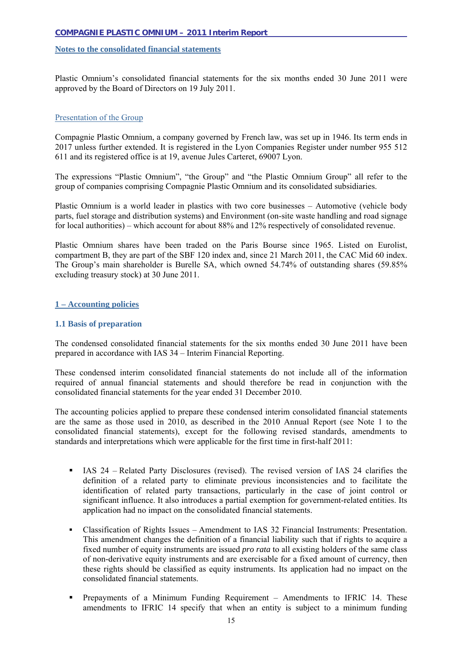# **Notes to the consolidated financial statements**

Plastic Omnium's consolidated financial statements for the six months ended 30 June 2011 were approved by the Board of Directors on 19 July 2011.

# Presentation of the Group

Compagnie Plastic Omnium, a company governed by French law, was set up in 1946. Its term ends in 2017 unless further extended. It is registered in the Lyon Companies Register under number 955 512 611 and its registered office is at 19, avenue Jules Carteret, 69007 Lyon.

The expressions "Plastic Omnium", "the Group" and "the Plastic Omnium Group" all refer to the group of companies comprising Compagnie Plastic Omnium and its consolidated subsidiaries.

Plastic Omnium is a world leader in plastics with two core businesses – Automotive (vehicle body parts, fuel storage and distribution systems) and Environment (on-site waste handling and road signage for local authorities) – which account for about 88% and 12% respectively of consolidated revenue.

Plastic Omnium shares have been traded on the Paris Bourse since 1965. Listed on Eurolist, compartment B, they are part of the SBF 120 index and, since 21 March 2011, the CAC Mid 60 index. The Group's main shareholder is Burelle SA, which owned 54.74% of outstanding shares (59.85% excluding treasury stock) at 30 June 2011.

# **1 – Accounting policies**

# **1.1 Basis of preparation**

The condensed consolidated financial statements for the six months ended 30 June 2011 have been prepared in accordance with IAS 34 – Interim Financial Reporting.

These condensed interim consolidated financial statements do not include all of the information required of annual financial statements and should therefore be read in conjunction with the consolidated financial statements for the year ended 31 December 2010.

The accounting policies applied to prepare these condensed interim consolidated financial statements are the same as those used in 2010, as described in the 2010 Annual Report (see Note 1 to the consolidated financial statements), except for the following revised standards, amendments to standards and interpretations which were applicable for the first time in first-half 2011:

- IAS 24 Related Party Disclosures (revised). The revised version of IAS 24 clarifies the definition of a related party to eliminate previous inconsistencies and to facilitate the identification of related party transactions, particularly in the case of joint control or significant influence. It also introduces a partial exemption for government-related entities. Its application had no impact on the consolidated financial statements.
- Classification of Rights Issues Amendment to IAS 32 Financial Instruments: Presentation. This amendment changes the definition of a financial liability such that if rights to acquire a fixed number of equity instruments are issued *pro rata* to all existing holders of the same class of non-derivative equity instruments and are exercisable for a fixed amount of currency, then these rights should be classified as equity instruments. Its application had no impact on the consolidated financial statements.
- **Prepayments of a Minimum Funding Requirement Amendments to IFRIC 14. These** amendments to IFRIC 14 specify that when an entity is subject to a minimum funding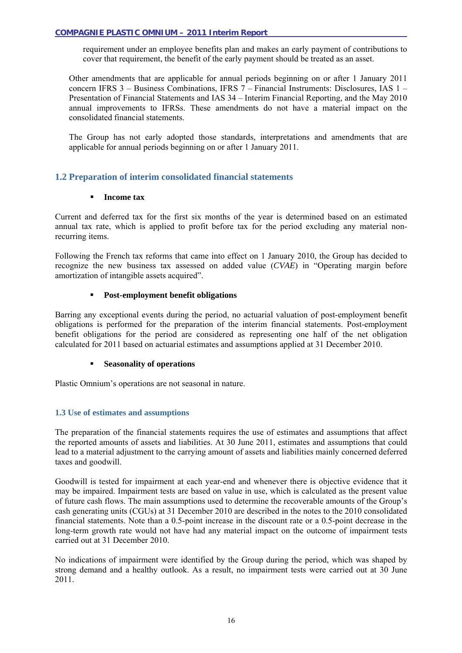requirement under an employee benefits plan and makes an early payment of contributions to cover that requirement, the benefit of the early payment should be treated as an asset.

Other amendments that are applicable for annual periods beginning on or after 1 January 2011 concern IFRS 3 – Business Combinations, IFRS 7 – Financial Instruments: Disclosures, IAS 1 – Presentation of Financial Statements and IAS 34 – Interim Financial Reporting, and the May 2010 annual improvements to IFRSs. These amendments do not have a material impact on the consolidated financial statements.

The Group has not early adopted those standards, interpretations and amendments that are applicable for annual periods beginning on or after 1 January 2011.

# **1.2 Preparation of interim consolidated financial statements**

# **Income tax**

Current and deferred tax for the first six months of the year is determined based on an estimated annual tax rate, which is applied to profit before tax for the period excluding any material nonrecurring items.

Following the French tax reforms that came into effect on 1 January 2010, the Group has decided to recognize the new business tax assessed on added value (*CVAE*) in "Operating margin before amortization of intangible assets acquired".

# **Post-employment benefit obligations**

Barring any exceptional events during the period, no actuarial valuation of post-employment benefit obligations is performed for the preparation of the interim financial statements. Post-employment benefit obligations for the period are considered as representing one half of the net obligation calculated for 2011 based on actuarial estimates and assumptions applied at 31 December 2010.

# **Seasonality of operations**

Plastic Omnium's operations are not seasonal in nature.

# **1.3 Use of estimates and assumptions**

The preparation of the financial statements requires the use of estimates and assumptions that affect the reported amounts of assets and liabilities. At 30 June 2011, estimates and assumptions that could lead to a material adjustment to the carrying amount of assets and liabilities mainly concerned deferred taxes and goodwill.

Goodwill is tested for impairment at each year-end and whenever there is objective evidence that it may be impaired. Impairment tests are based on value in use, which is calculated as the present value of future cash flows. The main assumptions used to determine the recoverable amounts of the Group's cash generating units (CGUs) at 31 December 2010 are described in the notes to the 2010 consolidated financial statements. Note than a 0.5-point increase in the discount rate or a 0.5-point decrease in the long-term growth rate would not have had any material impact on the outcome of impairment tests carried out at 31 December 2010.

No indications of impairment were identified by the Group during the period, which was shaped by strong demand and a healthy outlook. As a result, no impairment tests were carried out at 30 June 2011.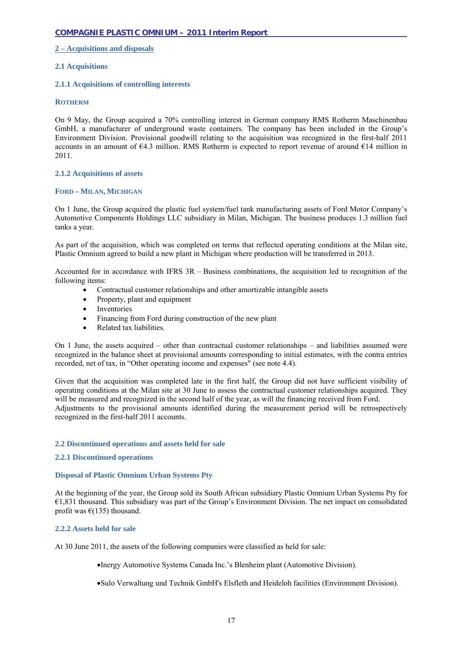# **2 – Acquisitions and disposals**

# **2.1 Acquisitions**

### **2.1.1 Acquisitions of controlling interests**

### **ROTHERM**

On 9 May, the Group acquired a 70% controlling interest in German company RMS Rotherm Maschinenbau GmbH, a manufacturer of underground waste containers. The company has been included in the Group's Environment Division. Provisional goodwill relating to the acquisition was recognized in the first-half 2011 accounts in an amount of €4.3 million. RMS Rotherm is expected to report revenue of around €14 million in 2011.

# **2.1.2 Acquisitions of assets**

#### **FORD – MILAN, MICHIGAN**

On 1 June, the Group acquired the plastic fuel system/fuel tank manufacturing assets of Ford Motor Company's Automotive Components Holdings LLC subsidiary in Milan, Michigan. The business produces 1.3 million fuel tanks a year.

As part of the acquisition, which was completed on terms that reflected operating conditions at the Milan site, Plastic Omnium agreed to build a new plant in Michigan where production will be transferred in 2013.

Accounted for in accordance with IFRS  $3R -$ Business combinations, the acquisition led to recognition of the following items:

- Contractual customer relationships and other amortizable intangible assets
- Property, plant and equipment
- Inventories
- Financing from Ford during construction of the new plant
- Related tax liabilities.

On 1 June, the assets acquired – other than contractual customer relationships – and liabilities assumed were recognized in the balance sheet at provisional amounts corresponding to initial estimates, with the contra entries recorded, net of tax, in "Other operating income and expenses" (see note 4.4).

Given that the acquisition was completed late in the first half, the Group did not have sufficient visibility of operating conditions at the Milan site at 30 June to assess the contractual customer relationships acquired. They will be measured and recognized in the second half of the year, as will the financing received from Ford. Adjustments to the provisional amounts identified during the measurement period will be retrospectively recognized in the first-half 2011 accounts.

#### **2.2 Discontinued operations and assets held for sale**

#### **2.2.1 Discontinued operations**

#### **Disposal of Plastic Omnium Urban Systems Pty**

At the beginning of the year, the Group sold its South African subsidiary Plastic Omnium Urban Systems Pty for €1,831 thousand. This subsidiary was part of the Group's Environment Division. The net impact on consolidated profit was  $\epsilon$ (135) thousand.

#### **2.2.2 Assets held for sale**

At 30 June 2011, the assets of the following companies were classified as held for sale:

•Inergy Automotive Systems Canada Inc.'s Blenheim plant (Automotive Division).

•Sulo Verwaltung und Technik GmbH's Elsfleth and Heideloh facilities (Environment Division).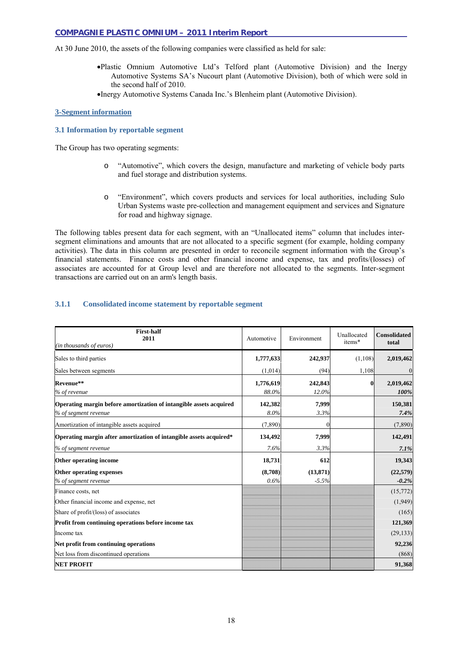At 30 June 2010, the assets of the following companies were classified as held for sale:

- •Plastic Omnium Automotive Ltd's Telford plant (Automotive Division) and the Inergy Automotive Systems SA's Nucourt plant (Automotive Division), both of which were sold in the second half of 2010.
- •Inergy Automotive Systems Canada Inc.'s Blenheim plant (Automotive Division).

### **3-Segment information**

#### **3.1 Information by reportable segment**

The Group has two operating segments:

- o "Automotive", which covers the design, manufacture and marketing of vehicle body parts and fuel storage and distribution systems.
- o "Environment", which covers products and services for local authorities, including Sulo Urban Systems waste pre-collection and management equipment and services and Signature for road and highway signage.

The following tables present data for each segment, with an "Unallocated items" column that includes intersegment eliminations and amounts that are not allocated to a specific segment (for example, holding company activities). The data in this column are presented in order to reconcile segment information with the Group's financial statements. Finance costs and other financial income and expense, tax and profits/(losses) of associates are accounted for at Group level and are therefore not allocated to the segments. Inter-segment transactions are carried out on an arm's length basis.

# **3.1.1 Consolidated income statement by reportable segment**

| <b>First-half</b><br>2011<br>(in thousands of euros)               | Automotive | Environment | Unallocated<br>items* | <b>Consolidated</b><br>total |
|--------------------------------------------------------------------|------------|-------------|-----------------------|------------------------------|
| Sales to third parties                                             | 1,777,633  | 242,937     | (1,108)               | 2,019,462                    |
| Sales between segments                                             | (1,014)    | (94)        | 1,108                 | $\theta$                     |
| Revenue**                                                          | 1,776,619  | 242,843     | $\bf{0}$              | 2,019,462                    |
| % of revenue                                                       | 88.0%      | 12.0%       |                       | 100%                         |
| Operating margin before amortization of intangible assets acquired | 142,382    | 7,999       |                       | 150,381                      |
| % of segment revenue                                               | 8.0%       | 3.3%        |                       | 7.4%                         |
| Amortization of intangible assets acquired                         | (7,890)    |             |                       | (7,890)                      |
| Operating margin after amortization of intangible assets acquired* | 134,492    | 7,999       |                       | 142,491                      |
| % of segment revenue                                               | 7.6%       | 3.3%        |                       | 7.1%                         |
| Other operating income                                             | 18,731     | 612         |                       | 19,343                       |
| Other operating expenses                                           | (8,708)    | (13, 871)   |                       | (22,579)                     |
| % of segment revenue                                               | 0.6%       | $-5.5%$     |                       | $-0.2%$                      |
| Finance costs, net                                                 |            |             |                       | (15,772)                     |
| Other financial income and expense, net                            |            |             |                       | (1,949)                      |
| Share of profit/(loss) of associates                               |            |             |                       | (165)                        |
| Profit from continuing operations before income tax                |            |             |                       | 121,369                      |
| Income tax                                                         |            |             |                       | (29, 133)                    |
| Net profit from continuing operations                              |            |             |                       | 92,236                       |
| Net loss from discontinued operations                              |            |             |                       | (868)                        |
| <b>NET PROFIT</b>                                                  |            |             |                       | 91,368                       |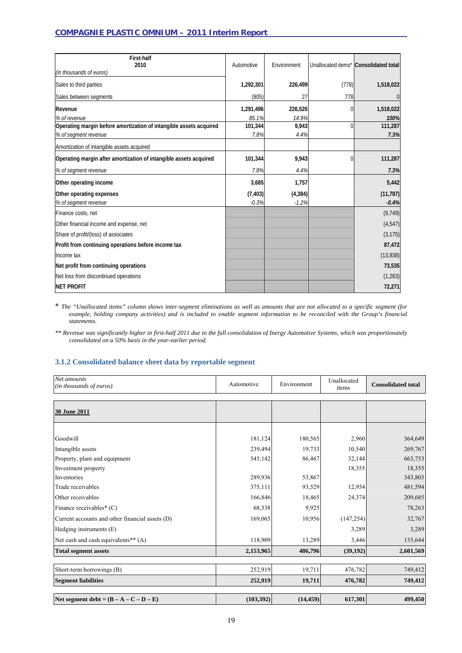| <b>First-half</b><br>2010                                          | Automotive | Environment |             | Unallocated items* Consolidated total |
|--------------------------------------------------------------------|------------|-------------|-------------|---------------------------------------|
| (in thousands of euros)                                            |            |             |             |                                       |
| Sales to third parties                                             | 1,292,301  | 226,499     | (778)       | 1,518,022                             |
| Sales between segments                                             | (805)      | 27          | 778         | $\overline{0}$                        |
| Revenue                                                            | 1,291,496  | 226,526     | $\mathbf 0$ | 1,518,022                             |
| % of revenue                                                       | 85.1%      | 14.9%       |             | 100%                                  |
| Operating margin before amortization of intangible assets acquired | 101,344    | 9,943       | $\Omega$    | 111,287                               |
| % of segment revenue                                               | 7.8%       | 4.4%        |             | 7.3%                                  |
| Amortization of intangible assets acquired                         |            |             |             |                                       |
| Operating margin after amortization of intangible assets acquired  | 101,344    | 9,943       | $\theta$    | 111,287                               |
| % of segment revenue                                               | 7.8%       | 4.4%        |             | 7.3%                                  |
| Other operating income                                             | 3,685      | 1,757       |             | 5,442                                 |
| Other operating expenses                                           | (7, 403)   | (4, 384)    |             | (11, 787)                             |
| % of segment revenue                                               | $-0.3%$    | $-1.2%$     |             | $-0.4%$                               |
| Finance costs, net                                                 |            |             |             | (9, 749)                              |
| Other financial income and expense, net                            |            |             |             | (4, 547)                              |
| Share of profit/(loss) of associates                               |            |             |             | (3, 175)                              |
| Profit from continuing operations before income tax                |            |             |             | 87,472                                |
| Income tax                                                         |            |             |             | (13,938)                              |
| Net profit from continuing operations                              |            |             |             | 73,535                                |
| Net loss from discontinued operations                              |            |             |             | (1,263)                               |
| <b>NET PROFIT</b>                                                  |            |             |             | 72,271                                |

\* *The "Unallocated items" column shows inter-segment eliminations as well as amounts that are not allocated to a specific segment (for example, holding company activities) and is included to enable segment information to be reconciled with the Group's financial statements.*

*\*\* Revenue was significantly higher in first-half 2011 due to the full consolidation of Inergy Automotive Systems, which was proportionately consolidated on a 50% basis in the year-earlier period.* 

# **3.1.2 Consolidated balance sheet data by reportable segment**

| Net amounts<br>(in thousands of euros)          | Automotive | Environment | Unallocated<br>items | <b>Consolidated total</b> |
|-------------------------------------------------|------------|-------------|----------------------|---------------------------|
|                                                 |            |             |                      |                           |
| 30 June 2011                                    |            |             |                      |                           |
|                                                 |            |             |                      |                           |
| Goodwill                                        | 181,124    | 180,565     | 2,960                | 364,649                   |
| Intangible assets                               | 239,494    | 19,733      | 10,540               | 269,767                   |
| Property, plant and equipment                   | 545,142    | 86,467      | 32,144               | 663,753                   |
| Investment property                             |            |             | 18,355               | 18,355                    |
| Inventories                                     | 289,936    | 53,867      |                      | 343,803                   |
| Trade receivables                               | 375,111    | 93,529      | 12,954               | 481,594                   |
| Other receivables                               | 166,846    | 18,465      | 24,374               | 209,685                   |
| Finance receivables* (C)                        | 68,338     | 9,925       |                      | 78,263                    |
| Current accounts and other financial assets (D) | 169,065    | 10,956      | (147, 254)           | 32,767                    |
| Hedging instruments $(E)$                       |            |             | 3,289                | 3,289                     |
| Net cash and cash equivalents** (A)             | 118,909    | 13,289      | 3,446                | 135,644                   |
| <b>Total segment assets</b>                     | 2,153,965  | 486,796     | (39, 192)            | 2,601,569                 |
| Short-term borrowings (B)                       | 252,919    | 19,711      | 476,782              | 749,412                   |
| <b>Segment liabilities</b>                      | 252,919    | 19,711      | 476,782              | 749,412                   |
| Net segment debt = $(B - A - C - D - E)$        | (103, 392) | (14, 459)   | 617,301              | 499,450                   |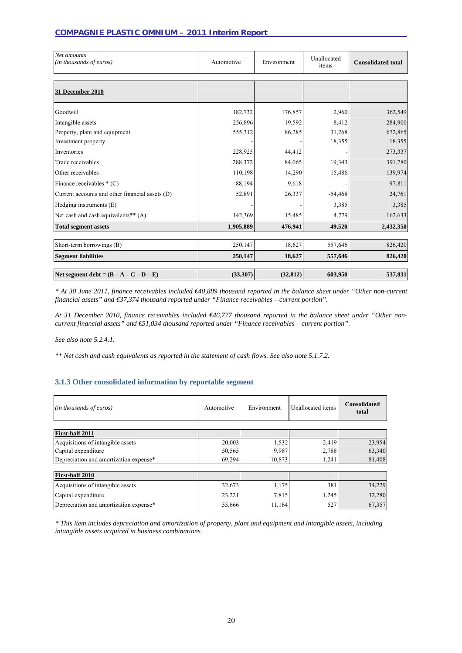| <b>COMPAGNIE PLASTIC OMNIUM - 2011 Interim Report</b> |  |  |  |
|-------------------------------------------------------|--|--|--|
|                                                       |  |  |  |

| Net amounts<br>(in thousands of euros)          | Automotive | Environment | Unallocated<br>items | <b>Consolidated total</b> |
|-------------------------------------------------|------------|-------------|----------------------|---------------------------|
|                                                 |            |             |                      |                           |
| 31 December 2010                                |            |             |                      |                           |
| Goodwill                                        | 182,732    | 176,857     | 2,960                | 362,549                   |
| Intangible assets                               | 256,896    | 19,592      | 8,412                | 284,900                   |
| Property, plant and equipment                   | 555,312    | 86,285      | 31,268               | 672,865                   |
| Investment property                             |            |             | 18,355               | 18,355                    |
| Inventories                                     | 228,925    | 44,412      |                      | 273,337                   |
| Trade receivables                               | 288,372    | 84,065      | 19,343               | 391,780                   |
| Other receivables                               | 110,198    | 14,290      | 15,486               | 139,974                   |
| Finance receivables $*(C)$                      | 88,194     | 9,618       |                      | 97,811                    |
| Current accounts and other financial assets (D) | 52,891     | 26,337      | $-54,468$            | 24,761                    |
| Hedging instruments (E)                         |            |             | 3,385                | 3,385                     |
| Net cash and cash equivalents** $(A)$           | 142,369    | 15,485      | 4,779                | 162,633                   |
| <b>Total segment assets</b>                     | 1,905,889  | 476,941     | 49,520               | 2,432,350                 |
|                                                 |            |             |                      |                           |
| Short-term borrowings (B)                       | 250,147    | 18,627      | 557,646              | 826,420                   |
| <b>Segment liabilities</b>                      | 250,147    | 18,627      | 557,646              | 826,420                   |
| Net segment debt = $(B - A - C - D - E)$        | (33, 307)  | (32, 812)   | 603,950              | 537,831                   |

*\* At 30 June 2011, finance receivables included €40,889 thousand reported in the balance sheet under "Other non-current financial assets" and €37,374 thousand reported under "Finance receivables – current portion".* 

*At 31 December 2010, finance receivables included €46,777 thousand reported in the balance sheet under "Other noncurrent financial assets" and €51,034 thousand reported under "Finance receivables – current portion".* 

*See also note 5.2.4.1.* 

*\*\* Net cash and cash equivalents as reported in the statement of cash flows. See also note 5.1.7.2.* 

# **3.1.3 Other consolidated information by reportable segment**

| (in thousands of euros)                | Automotive | Environment | Unallocated items | <b>Consolidated</b><br>total |
|----------------------------------------|------------|-------------|-------------------|------------------------------|
|                                        |            |             |                   |                              |
| First-half 2011                        |            |             |                   |                              |
| Acquisitions of intangible assets      | 20,003     | 1,532       | 2,419             | 23,954                       |
| Capital expenditure                    | 50,565     | 9,987       | 2,788             | 63,340                       |
| Depreciation and amortization expense* | 69,294     | 10,873      | 1,241             | 81,408                       |
| First-half 2010                        |            |             |                   |                              |
| Acquisitions of intangible assets      | 32,673     | 1,175       | 381               | 34,229                       |
| Capital expenditure                    | 23,221     | 7,815       | 1,245             | 32,280                       |
| Depreciation and amortization expense* | 55,666     | 11,164      | 527               | 67,357                       |

*\* This item includes depreciation and amortization of property, plant and equipment and intangible assets, including intangible assets acquired in business combinations.*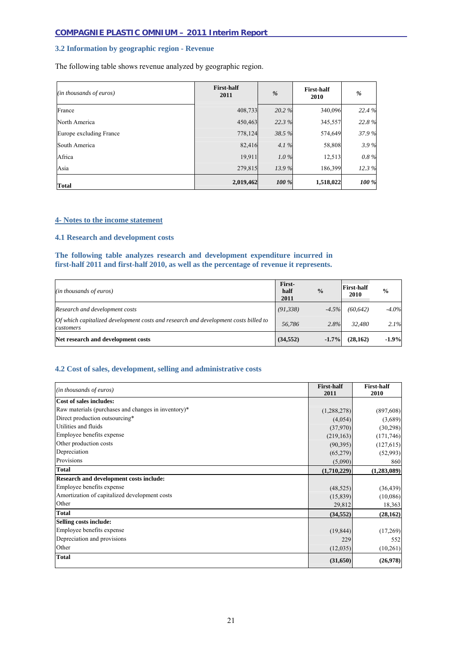# **3.2 Information by geographic region - Revenue**

The following table shows revenue analyzed by geographic region.

| ( <i>in thousands of euros</i> ) | <b>First-half</b><br>2011 | $\frac{0}{6}$ | <b>First-half</b><br>2010 | $\frac{9}{6}$ |
|----------------------------------|---------------------------|---------------|---------------------------|---------------|
| France                           | 408,733                   | 20.2%         | 340,096                   | 22.4%         |
| North America                    | 450,463                   | 22.3%         | 345,557                   | 22.8%         |
| Europe excluding France          | 778,124                   | 38.5%         | 574,649                   | 37.9%         |
| South America                    | 82,416                    | 4.1%          | 58,808                    | 3.9%          |
| Africa                           | 19,911                    | $1.0\%$       | 12,513                    | 0.8%          |
| Asia                             | 279,815                   | 13.9%         | 186,399                   | 12.3%         |
| <b>Total</b>                     | 2,019,462                 | 100 %         | 1,518,022                 | 100 %         |

#### **4- Notes to the income statement**

**4.1 Research and development costs** 

#### **The following table analyzes research and development expenditure incurred in first-half 2011 and first-half 2010, as well as the percentage of revenue it represents.**

| $(in$ thousands of euros)                                                                        | First-<br>half<br>2011 | $\frac{0}{0}$ | <b>First-half</b><br>2010 | $\frac{0}{0}$ |
|--------------------------------------------------------------------------------------------------|------------------------|---------------|---------------------------|---------------|
| Research and development costs                                                                   | (91, 338)              | $-4.5\%$      | (60, 642)                 | $-4.0\%$      |
| Of which capitalized development costs and research and development costs billed to<br>customers | 56.786                 | 2.8%          | 32,480                    | 2.1%          |
| Net research and development costs                                                               | (34, 552)              | $-1.7\%$      | (28, 162)                 | $-1.9%$       |

# **4.2 Cost of sales, development, selling and administrative costs**

| (in thousands of euros)                             | <b>First-half</b> | <b>First-half</b> |
|-----------------------------------------------------|-------------------|-------------------|
|                                                     | 2011              | 2010              |
| <b>Cost of sales includes:</b>                      |                   |                   |
| Raw materials (purchases and changes in inventory)* | (1,288,278)       | (897,608)         |
| Direct production outsourcing*                      | (4,054)           | (3,689)           |
| Utilities and fluids                                | (37,970)          | (30,298)          |
| Employee benefits expense                           | (219, 163)        | (171, 746)        |
| Other production costs                              | (90, 395)         | (127, 615)        |
| Depreciation                                        | (65,279)          | (52,993)          |
| Provisions                                          | (5,090)           | 860               |
| <b>Total</b>                                        | (1,710,229)       | (1,283,089)       |
| <b>Research and development costs include:</b>      |                   |                   |
| Employee benefits expense                           | (48, 525)         | (36, 439)         |
| Amortization of capitalized development costs       | (15, 839)         | (10,086)          |
| Other                                               | 29,812            | 18,363            |
| <b>Total</b>                                        | (34, 552)         | (28, 162)         |
| <b>Selling costs include:</b>                       |                   |                   |
| Employee benefits expense                           | (19, 844)         | (17,269)          |
| Depreciation and provisions                         | 229               | 552               |
| Other                                               | (12,035)          | (10,261)          |
| <b>Total</b>                                        | (31,650)          | (26,978)          |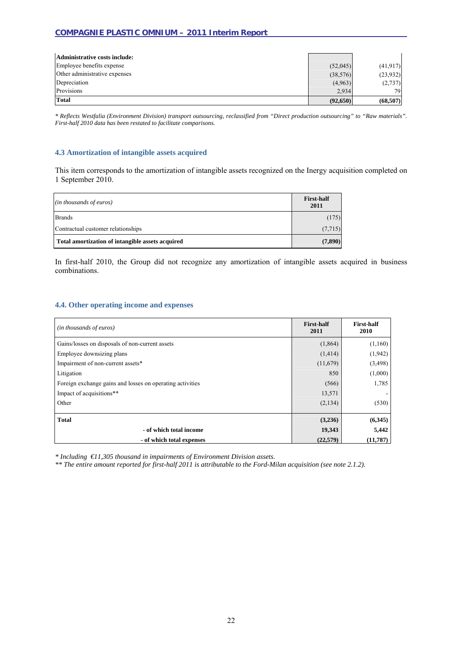| Administrative costs include: |           |           |
|-------------------------------|-----------|-----------|
| Employee benefits expense     | (52,045)  | (41, 917) |
| Other administrative expenses | (38, 576) | (23,932)  |
| Depreciation                  | (4,963)   | (2,737)   |
| Provisions                    | 2.934     | 79        |
| <b>Total</b>                  | (92,650)  | (68,507)  |

*\* Reflects Westfalia (Environment Division) transport outsourcing, reclassified from "Direct production outsourcing" to "Raw materials". First-half 2010 data has been restated to facilitate comparisons.* 

#### **4.3 Amortization of intangible assets acquired**

This item corresponds to the amortization of intangible assets recognized on the Inergy acquisition completed on 1 September 2010.

| (in thousands of euros)                          | <b>First-half</b><br>2011 |
|--------------------------------------------------|---------------------------|
| <b>Brands</b>                                    | (175)                     |
| Contractual customer relationships               | (7,715)                   |
| Total amortization of intangible assets acquired | (7,890)                   |

In first-half 2010, the Group did not recognize any amortization of intangible assets acquired in business combinations.

#### **4.4. Other operating income and expenses**

| (in thousands of euros)                                   | <b>First-half</b><br>2011 | First-half<br>2010 |
|-----------------------------------------------------------|---------------------------|--------------------|
| Gains/losses on disposals of non-current assets           | (1,864)                   | (1,160)            |
| Employee downsizing plans                                 | (1,414)                   | (1,942)            |
| Impairment of non-current assets*                         | (11,679)                  | (3, 498)           |
| Litigation                                                | 850                       | (1,000)            |
| Foreign exchange gains and losses on operating activities | (566)                     | 1,785              |
| Impact of acquisitions**                                  | 13,571                    |                    |
| Other                                                     | (2,134)                   | (530)              |
| <b>Total</b>                                              | (3,236)                   | (6,345)            |
| - of which total income                                   | 19,343                    | 5,442              |
| - of which total expenses                                 | (22,579)                  | (11,787)           |

*\* Including €11,305 thousand in impairments of Environment Division assets.* 

*\*\* The entire amount reported for first-half 2011 is attributable to the Ford-Milan acquisition (see note 2.1.2).*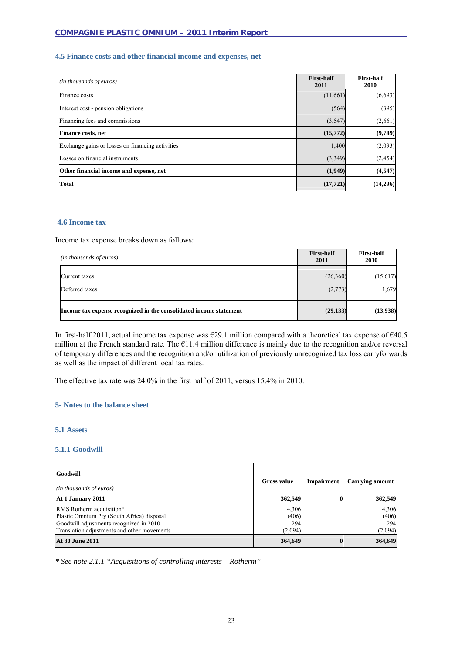# **4.5 Finance costs and other financial income and expenses, net**

| (in thousands of euros)                          | <b>First-half</b><br>2011 | <b>First-half</b><br>2010 |
|--------------------------------------------------|---------------------------|---------------------------|
| Finance costs                                    | (11,661)                  | (6,693)                   |
| Interest cost - pension obligations              | (564)                     | (395)                     |
| Financing fees and commissions                   | (3,547)                   | (2,661)                   |
| <b>Finance costs, net</b>                        | (15,772)                  | (9,749)                   |
| Exchange gains or losses on financing activities | 1,400                     | (2,093)                   |
| Losses on financial instruments                  | (3,349)                   | (2, 454)                  |
| Other financial income and expense, net          | (1,949)                   | (4,547)                   |
| <b>Total</b>                                     | (17, 721)                 | (14,296)                  |

#### **4.6 Income tax**

Income tax expense breaks down as follows:

| (in thousands of euros)                                            | <b>First-half</b><br>2011 | <b>First-half</b><br>2010 |
|--------------------------------------------------------------------|---------------------------|---------------------------|
| Current taxes                                                      | (26,360)                  | (15,617)                  |
| Deferred taxes                                                     | (2,773)                   | 1,679                     |
| Income tax expense recognized in the consolidated income statement | (29, 133)                 | (13,938)                  |

In first-half 2011, actual income tax expense was €29.1 million compared with a theoretical tax expense of €40.5 million at the French standard rate. The €11.4 million difference is mainly due to the recognition and/or reversal of temporary differences and the recognition and/or utilization of previously unrecognized tax loss carryforwards as well as the impact of different local tax rates.

The effective tax rate was 24.0% in the first half of 2011, versus 15.4% in 2010.

#### **5- Notes to the balance sheet**

# **5.1 Assets**

#### **5.1.1 Goodwill**

| Goodwill<br>$(in$ thousands of euros)       | <b>Gross value</b> | <b>Impairment</b> | <b>Carrying amount</b> |
|---------------------------------------------|--------------------|-------------------|------------------------|
| At 1 January 2011                           | 362,549            | 0                 | 362,549                |
| RMS Rotherm acquisition*                    | 4,306              |                   | 4,306                  |
| Plastic Omnium Pty (South Africa) disposal  | (406)              |                   | (406)                  |
| Goodwill adjustments recognized in 2010     | 294                |                   | 294                    |
| Translation adjustments and other movements | (2,094)            |                   | (2,094)                |
| <b>At 30 June 2011</b>                      | 364,649            | 0                 | 364,649                |

*\* See note 2.1.1 "Acquisitions of controlling interests – Rotherm"*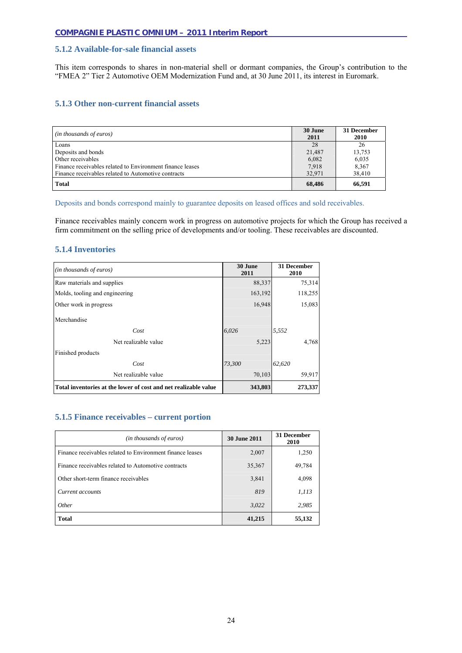# **5.1.2 Available-for-sale financial assets**

This item corresponds to shares in non-material shell or dormant companies, the Group's contribution to the "FMEA 2" Tier 2 Automotive OEM Modernization Fund and, at 30 June 2011, its interest in Euromark.

# **5.1.3 Other non-current financial assets**

| ( <i>in thousands of euros</i> )                          | 30 June<br>2011 | 31 December<br>2010 |
|-----------------------------------------------------------|-----------------|---------------------|
| Loans                                                     | 28              | 26                  |
| Deposits and bonds                                        | 21.487          | 13,753              |
| Other receivables                                         | 6,082           | 6,035               |
| Finance receivables related to Environment finance leases | 7.918           | 8,367               |
| Finance receivables related to Automotive contracts       | 32.971          | 38,410              |
| <b>Total</b>                                              | 68,486          | 66,591              |

Deposits and bonds correspond mainly to guarantee deposits on leased offices and sold receivables.

Finance receivables mainly concern work in progress on automotive projects for which the Group has received a firm commitment on the selling price of developments and/or tooling. These receivables are discounted.

# **5.1.4 Inventories**

| (in thousands of euros)                                         | 30 June<br>2011 | 31 December<br>2010 |
|-----------------------------------------------------------------|-----------------|---------------------|
| Raw materials and supplies                                      | 88,337          | 75,314              |
| Molds, tooling and engineering                                  | 163,192         | 118,255             |
| Other work in progress                                          | 16,948          | 15,083              |
| Merchandise                                                     |                 |                     |
| Cost                                                            | 6.026           | 5,552               |
| Net realizable value                                            | 5,223           | 4,768               |
| Finished products                                               |                 |                     |
| Cost                                                            | 73,300          | 62,620              |
| Net realizable value                                            | 70,103          | 59,917              |
| Total inventories at the lower of cost and net realizable value | 343,803         | 273,337             |

# **5.1.5 Finance receivables – current portion**

| (in thousands of euros)                                   | <b>30 June 2011</b> | 31 December<br>2010 |
|-----------------------------------------------------------|---------------------|---------------------|
| Finance receivables related to Environment finance leases | 2,007               | 1,250               |
| Finance receivables related to Automotive contracts       | 35,367              | 49,784              |
| Other short-term finance receivables                      | 3,841               | 4,098               |
| Current accounts                                          | 819                 | 1,113               |
| Other                                                     | 3,022               | 2,985               |
| <b>Total</b>                                              | 41,215              | 55,132              |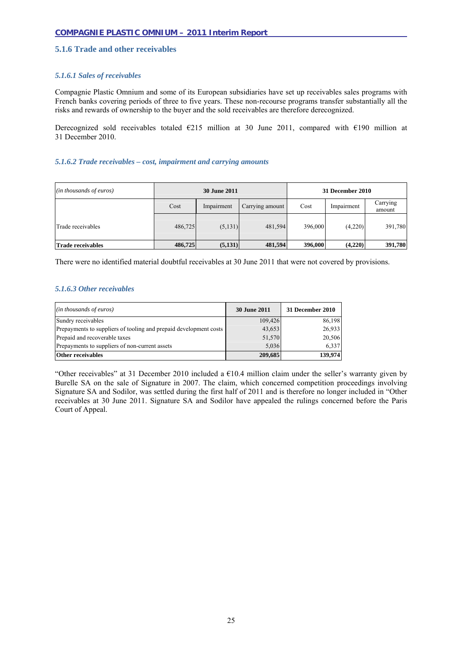# **5.1.6 Trade and other receivables**

# *5.1.6.1 Sales of receivables*

Compagnie Plastic Omnium and some of its European subsidiaries have set up receivables sales programs with French banks covering periods of three to five years. These non-recourse programs transfer substantially all the risks and rewards of ownership to the buyer and the sold receivables are therefore derecognized.

Derecognized sold receivables totaled  $\epsilon$ 215 million at 30 June 2011, compared with  $\epsilon$ 190 million at 31 December 2010.

#### *5.1.6.2 Trade receivables – cost, impairment and carrying amounts*

| (in thousands of euros)  |                    | <b>30 June 2011</b> |                 |                    | 31 December 2010 |                    |
|--------------------------|--------------------|---------------------|-----------------|--------------------|------------------|--------------------|
|                          | Cost<br>Impairment |                     | Carrying amount | Cost<br>Impairment |                  | Carrying<br>amount |
| Trade receivables        | 486,725            | (5,131)             | 481,594         | 396,000            | (4,220)          | 391,780            |
| <b>Trade receivables</b> | 486,725            | (5,131)             | 481,594         | 396,000            | (4,220)          | 391,780            |

There were no identified material doubtful receivables at 30 June 2011 that were not covered by provisions.

#### *5.1.6.3 Other receivables*

| ( <i>in thousands of euros</i> )                                  | <b>30 June 2011</b> | 31 December 2010 |
|-------------------------------------------------------------------|---------------------|------------------|
| Sundry receivables                                                | 109,426             | 86,198           |
| Prepayments to suppliers of tooling and prepaid development costs | 43,653              | 26,933           |
| Prepaid and recoverable taxes                                     | 51,570              | 20,506           |
| Prepayments to suppliers of non-current assets                    | 5,036               | 6,337            |
| <b>Other receivables</b>                                          | 209,685             | 139,974          |

"Other receivables" at 31 December 2010 included a  $\epsilon$ 10.4 million claim under the seller's warranty given by Burelle SA on the sale of Signature in 2007. The claim, which concerned competition proceedings involving Signature SA and Sodilor, was settled during the first half of 2011 and is therefore no longer included in "Other receivables at 30 June 2011. Signature SA and Sodilor have appealed the rulings concerned before the Paris Court of Appeal.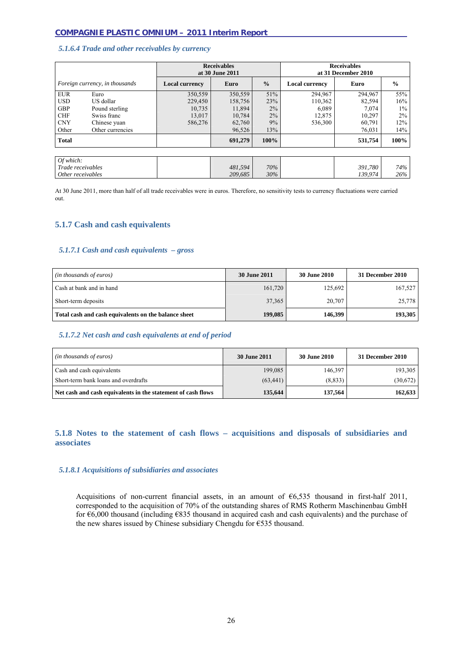#### *5.1.6.4 Trade and other receivables by currency*

|                                |                                | <b>Receivables</b><br><b>Receivables</b><br>at 31 December 2010<br>at 30 June 2011 |         |               |                       |         |               |
|--------------------------------|--------------------------------|------------------------------------------------------------------------------------|---------|---------------|-----------------------|---------|---------------|
|                                | Foreign currency, in thousands | <b>Local currency</b>                                                              | Euro    | $\frac{0}{0}$ | <b>Local currency</b> | Euro    | $\frac{0}{0}$ |
| <b>EUR</b>                     | Euro                           | 350,559                                                                            | 350,559 | 51%           | 294,967               | 294,967 | 55%           |
| <b>USD</b>                     | US dollar                      | 229,450                                                                            | 158,756 | 23%           | 110,362               | 82,594  | 16%           |
| <b>GBP</b>                     | Pound sterling                 | 10,735                                                                             | 11,894  | 2%            | 6,089                 | 7,074   | $1\%$         |
| <b>CHF</b>                     | Swiss franc                    | 13,017                                                                             | 10,784  | 2%            | 12,875                | 10,297  | $2\%$         |
| <b>CNY</b>                     | Chinese yuan                   | 586,276                                                                            | 62,760  | 9%            | 536,300               | 60,791  | 12%           |
| Other                          | Other currencies               |                                                                                    | 96,526  | 13%           |                       | 76,031  | 14%           |
| <b>Total</b>                   |                                |                                                                                    | 691,279 | 100%          |                       | 531,754 | 100%          |
|                                |                                |                                                                                    |         |               |                       |         |               |
| Of which:<br>Trade receivables |                                |                                                                                    | 481.594 | 70%           |                       | 391.780 | 74%           |

At 30 June 2011, more than half of all trade receivables were in euros. Therefore, no sensitivity tests to currency fluctuations were carried out.

*209,685*

*30%*

*139,974* 

*26%*

# **5.1.7 Cash and cash equivalents**

*Other receivables*

#### *5.1.7.1 Cash and cash equivalents – gross*

| (in thousands of euros)                              | <b>30 June 2011</b> | <b>30 June 2010</b> | 31 December 2010 |
|------------------------------------------------------|---------------------|---------------------|------------------|
| Cash at bank and in hand                             | 161,720             | 125,692             | 167,527          |
| Short-term deposits                                  | 37,365              | 20,707              | 25,778           |
| Total cash and cash equivalents on the balance sheet | 199,085             | 146,399             | 193,305          |

#### *5.1.7.2 Net cash and cash equivalents at end of period*

| (in thousands of euros)                                      | <b>30 June 2011</b> | <b>30 June 2010</b> | 31 December 2010 |  |
|--------------------------------------------------------------|---------------------|---------------------|------------------|--|
| Cash and cash equivalents                                    | 199.085             | 146,397             | 193,305          |  |
| Short-term bank loans and overdrafts                         | (63.441)            | (8, 833)            | (30,672)         |  |
| Net cash and cash equivalents in the statement of cash flows | 135,644             | 137,564             | 162,633          |  |

# **5.1.8 Notes to the statement of cash flows – acquisitions and disposals of subsidiaries and associates**

#### *5.1.8.1 Acquisitions of subsidiaries and associates*

Acquisitions of non-current financial assets, in an amount of €6,535 thousand in first-half 2011, corresponded to the acquisition of 70% of the outstanding shares of RMS Rotherm Maschinenbau GmbH for €6,000 thousand (including €835 thousand in acquired cash and cash equivalents) and the purchase of the new shares issued by Chinese subsidiary Chengdu for €535 thousand.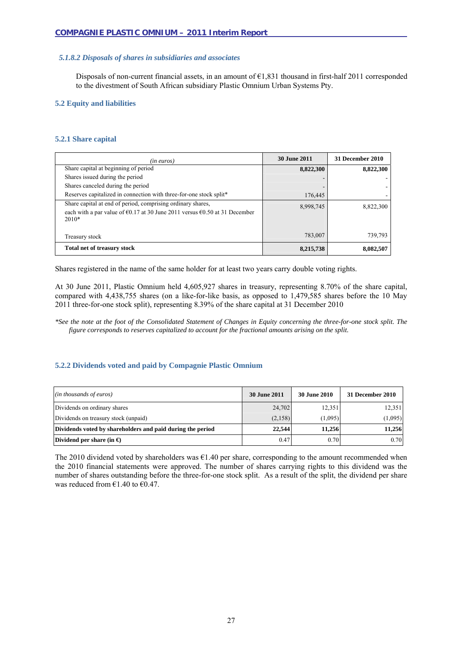#### *5.1.8.2 Disposals of shares in subsidiaries and associates*

Disposals of non-current financial assets, in an amount of  $\epsilon$ 1,831 thousand in first-half 2011 corresponded to the divestment of South African subsidiary Plastic Omnium Urban Systems Pty.

### **5.2 Equity and liabilities**

# **5.2.1 Share capital**

| (in euros)                                                                                                                                                               | <b>30 June 2011</b> | 31 December 2010 |
|--------------------------------------------------------------------------------------------------------------------------------------------------------------------------|---------------------|------------------|
| Share capital at beginning of period                                                                                                                                     | 8,822,300           | 8,822,300        |
| Shares issued during the period                                                                                                                                          |                     |                  |
| Shares canceled during the period                                                                                                                                        |                     |                  |
| Reserves capitalized in connection with three-for-one stock split*                                                                                                       | 176,445             |                  |
| Share capital at end of period, comprising ordinary shares,<br>each with a par value of $\epsilon 0.17$ at 30 June 2011 versus $\epsilon 0.50$ at 31 December<br>$2010*$ | 8,998,745           | 8,822,300        |
| Treasury stock                                                                                                                                                           | 783,007             | 739,793          |
| Total net of treasury stock                                                                                                                                              | 8,215,738           | 8,082,507        |

Shares registered in the name of the same holder for at least two years carry double voting rights.

At 30 June 2011, Plastic Omnium held 4,605,927 shares in treasury, representing 8.70% of the share capital, compared with 4,438,755 shares (on a like-for-like basis, as opposed to 1,479,585 shares before the 10 May 2011 three-for-one stock split), representing 8.39% of the share capital at 31 December 2010

*\*See the note at the foot of the Consolidated Statement of Changes in Equity concerning the three-for-one stock split. The figure corresponds to reserves capitalized to account for the fractional amounts arising on the split.* 

# **5.2.2 Dividends voted and paid by Compagnie Plastic Omnium**

| (in thousands of euros)                                    | 30 June 2011 | 30 June 2010 | 31 December 2010 |
|------------------------------------------------------------|--------------|--------------|------------------|
| Dividends on ordinary shares                               | 24,702       | 12,351       | 12,351           |
| Dividends on treasury stock (unpaid)                       | (2, 158)     | (1,095)      | (1,095)          |
| Dividends voted by shareholders and paid during the period | 22,544       | 11.256       | 11.256           |
| Dividend per share (in $\Theta$ )                          | 0.47         | 0.70         | 0.70             |

The 2010 dividend voted by shareholders was  $\epsilon$ 1.40 per share, corresponding to the amount recommended when the 2010 financial statements were approved. The number of shares carrying rights to this dividend was the number of shares outstanding before the three-for-one stock split. As a result of the split, the dividend per share was reduced from  $\epsilon$ 1.40 to  $\epsilon$ 0.47.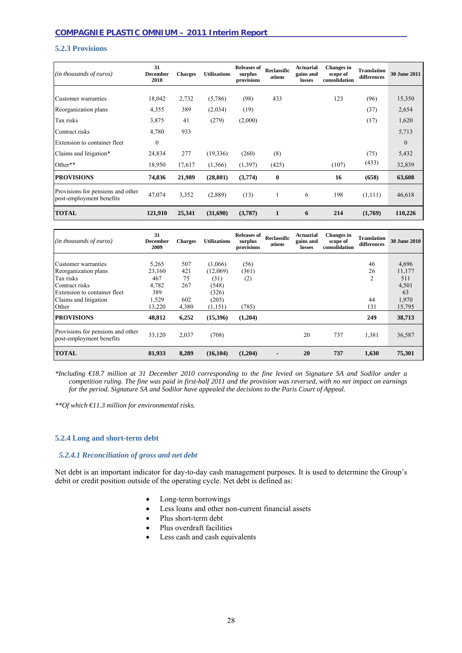# **5.2.3 Provisions**

| ( <i>in thousands of euros</i> )                              | 31<br><b>December</b><br>2010 | <b>Charges</b> | <b>Utilizations</b> | <b>Releases of</b><br>surplus<br>provisions | <b>Reclassific</b><br>ations | <b>Actuarial</b><br>gains and<br>losses | <b>Changes</b> in<br>scope of<br>consolidation | <b>Translation</b><br>differences | <b>30 June 2011</b> |
|---------------------------------------------------------------|-------------------------------|----------------|---------------------|---------------------------------------------|------------------------------|-----------------------------------------|------------------------------------------------|-----------------------------------|---------------------|
|                                                               |                               |                |                     |                                             |                              |                                         |                                                |                                   |                     |
| Customer warranties                                           | 18,042                        | 2,732          | (5,786)             | (98)                                        | 433                          |                                         | 123                                            | (96)                              | 15,350              |
| Reorganization plans                                          | 4,355                         | 389            | (2,034)             | (19)                                        |                              |                                         |                                                | (37)                              | 2,654               |
| Tax risks                                                     | 3,875                         | 41             | (279)               | (2,000)                                     |                              |                                         |                                                | (17)                              | 1,620               |
| Contract risks                                                | 4,780                         | 933            |                     |                                             |                              |                                         |                                                |                                   | 5,713               |
| Extension to container fleet                                  | $\theta$                      |                |                     |                                             |                              |                                         |                                                |                                   | $\mathbf{0}$        |
| Claims and litigation*                                        | 24,834                        | 277            | (19, 336)           | (260)                                       | (8)                          |                                         |                                                | (75)                              | 5,432               |
| Other**                                                       | 18,950                        | 17,617         | (1,366)             | (1, 397)                                    | (425)                        |                                         | (107)                                          | (433)                             | 32,839              |
| <b>PROVISIONS</b>                                             | 74,836                        | 21,989         | (28, 801)           | (3,774)                                     | $\bf{0}$                     |                                         | 16                                             | (658)                             | 63,608              |
| Provisions for pensions and other<br>post-employment benefits | 47,074                        | 3,352          | (2,889)             | (13)                                        |                              | 6                                       | 198                                            | (1,111)                           | 46,618              |
| <b>TOTAL</b>                                                  | 121,910                       | 25,341         | (31,690)            | (3,787)                                     | $\mathbf{1}$                 | 6                                       | 214                                            | (1,769)                           | 110,226             |

| (in thousands of euros)                                       | 31<br><b>December</b><br>2009 | <b>Charges</b> | <b>Utilizations</b> | <b>Releases of</b><br>surplus<br>provisions | <b>Reclassific</b><br>ations | <b>Actuarial</b><br>gains and<br>losses | <b>Changes</b> in<br>scope of<br>consolidation | Translation<br>differences | <b>30 June 2010</b> |
|---------------------------------------------------------------|-------------------------------|----------------|---------------------|---------------------------------------------|------------------------------|-----------------------------------------|------------------------------------------------|----------------------------|---------------------|
|                                                               |                               |                |                     |                                             |                              |                                         |                                                |                            |                     |
| Customer warranties                                           | 5,265                         | 507            | (1,066)             | (56)                                        |                              |                                         |                                                | 46                         | 4,696               |
| Reorganization plans                                          | 23,160                        | 421            | (12,069)            | (361)                                       |                              |                                         |                                                | 26                         | 11,177              |
| Tax risks                                                     | 467                           | 75             | (31)                | (2)                                         |                              |                                         |                                                | $\overline{2}$             | 511                 |
| Contract risks                                                | 4,782                         | 267            | (548)               |                                             |                              |                                         |                                                |                            | 4,501               |
| Extension to container fleet                                  | 389                           |                | (326)               |                                             |                              |                                         |                                                |                            | 63                  |
| Claims and litigation                                         | 1,529                         | 602            | (205)               |                                             |                              |                                         |                                                | 44                         | 1,970               |
| Other                                                         | 13,220                        | 4,380          | (1,151)             | (785)                                       |                              |                                         |                                                | 131                        | 15,795              |
| <b>PROVISIONS</b>                                             | 48,812                        | 6,252          | (15,396)            | (1,204)                                     |                              |                                         |                                                | 249                        | 38,713              |
| Provisions for pensions and other<br>post-employment benefits | 33,120                        | 2,037          | (708)               |                                             |                              | 20                                      | 737                                            | 1,381                      | 36,587              |
| <b>TOTAL</b>                                                  | 81,933                        | 8,289          | (16, 104)           | (1,204)                                     | $\blacksquare$               | 20                                      | 737                                            | 1,630                      | 75,301              |

*\*Including €18.7 million at 31 December 2010 corresponding to the fine levied on Signature SA and Sodilor under a competition ruling. The fine was paid in first-half 2011 and the provision was reversed, with no net impact on earnings for the period. Signature SA and Sodilor have appealed the decisions to the Paris Court of Appeal.* 

*\*\*Of which €11.3 million for environmental risks.* 

#### **5.2.4 Long and short-term debt**

#### *5.2.4.1 Reconciliation of gross and net debt*

Net debt is an important indicator for day-to-day cash management purposes. It is used to determine the Group's debit or credit position outside of the operating cycle. Net debt is defined as:

- Long-term borrowings
- Less loans and other non-current financial assets
- Plus short-term debt
- Plus overdraft facilities
- Less cash and cash equivalents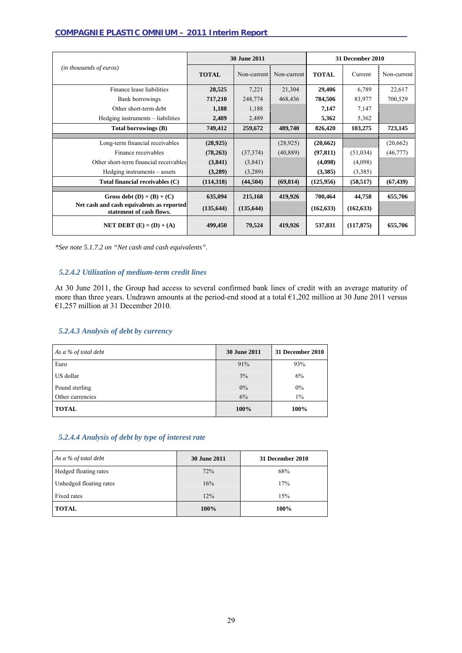|                                                                                                       |                       | <b>30 June 2011</b>   |             | <b>31 December 2010</b> |                      |             |
|-------------------------------------------------------------------------------------------------------|-----------------------|-----------------------|-------------|-------------------------|----------------------|-------------|
| (in thousands of euros)                                                                               | <b>TOTAL</b>          | Non-current i         | Non-current | <b>TOTAL</b>            | Current              | Non-current |
| Finance lease liabilities                                                                             | 28,525                | 7,221                 | 21,304      | 29,406                  | 6,789                | 22,617      |
| Bank borrowings                                                                                       | 717,210               | 248,774               | 468,436     | 784,506                 | 83,977               | 700,529     |
| Other short-term debt                                                                                 | 1,188                 | 1,188                 |             | 7,147                   | 7,147                |             |
| Hedging instruments – liabilities                                                                     | 2,489                 | 2,489                 |             | 5,362                   | 5,362                |             |
| Total borrowings (B)                                                                                  | 749,412               | 259,672               | 489,740     | 826,420                 | 103,275              | 723,145     |
|                                                                                                       |                       |                       |             |                         |                      |             |
| Long-term financial receivables                                                                       | (28, 925)             |                       | (28, 925)   | (20,662)                |                      | (20,662)    |
| Finance receivables                                                                                   | (78, 263)             | (37,374)              | (40, 889)   | (97, 811)               | (51,034)             | (46, 777)   |
| Other short-term financial receivables                                                                | (3,841)               | (3,841)               |             | (4,098)                 | (4,098)              |             |
| Hedging instruments $-$ assets                                                                        | (3,289)               | (3,289)               |             | (3,385)                 | (3,385)              |             |
| Total financial receivables (C)                                                                       | (114,318)             | (44, 504)             | (69, 814)   | (125, 956)              | (58, 517)            | (67, 439)   |
| Gross debt $(D) = (B) + (C)$<br>Net cash and cash equivalents as reported<br>statement of cash flows. | 635,094<br>(135, 644) | 215,168<br>(135, 644) | 419,926     | 700,464<br>(162, 633)   | 44,758<br>(162, 633) | 655,706     |
| <b>NET DEBT</b> $(E) = (D) + (A)$                                                                     | 499,450               | 79,524                | 419,926     | 537,831                 | (117, 875)           | 655,706     |

*\*See note 5.1.7.2 on "Net cash and cash equivalents".* 

# *5.2.4.2 Utilization of medium-term credit lines*

At 30 June 2011, the Group had access to several confirmed bank lines of credit with an average maturity of more than three years. Undrawn amounts at the period-end stood at a total €1,202 million at 30 June 2011 versus €1,257 million at 31 December 2010.

# *5.2.4.3 Analysis of debt by currency*

| As a % of total debt | <b>30 June 2011</b> | 31 December 2010 |
|----------------------|---------------------|------------------|
| Euro                 | 91%                 | 93%              |
| US dollar            | 3%                  | 6%               |
| Pound sterling       | $0\%$               | 0%               |
| Other currencies     | 6%                  | $1\%$            |
| <b>TOTAL</b>         | 100%                | 100%             |

# *5.2.4.4 Analysis of debt by type of interest rate*

| As a % of total debt    | <b>30 June 2011</b> | 31 December 2010 |
|-------------------------|---------------------|------------------|
| Hedged floating rates   | 72%                 | 68%              |
| Unhedged floating rates | 16%                 | 17%              |
| Fixed rates             | 12%                 | 15%              |
| <b>TOTAL</b>            | 100%                | 100%             |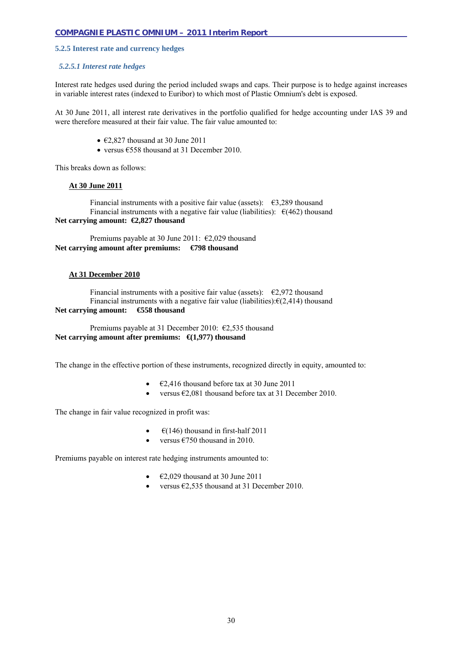### **5.2.5 Interest rate and currency hedges**

### *5.2.5.1 Interest rate hedges*

Interest rate hedges used during the period included swaps and caps. Their purpose is to hedge against increases in variable interest rates (indexed to Euribor) to which most of Plastic Omnium's debt is exposed.

At 30 June 2011, all interest rate derivatives in the portfolio qualified for hedge accounting under IAS 39 and were therefore measured at their fair value. The fair value amounted to:

- $\epsilon$ 2.827 thousand at 30 June 2011
- versus  $\text{\textsterling}558$  thousand at 31 December 2010.

This breaks down as follows:

# **At 30 June 2011**

Financial instruments with a positive fair value (assets):  $\epsilon$ 3,289 thousand Financial instruments with a negative fair value (liabilities):  $\epsilon$ (462) thousand **Net carrying amount: €2,827 thousand** 

Premiums payable at 30 June 2011: €2,029 thousand **Net carrying amount after premiums: €798 thousand** 

# **At 31 December 2010**

Financial instruments with a positive fair value (assets):  $\epsilon$ 2,972 thousand Financial instruments with a negative fair value (liabilities):€(2,414) thousand **Net carrying amount: €558 thousand** 

Premiums payable at 31 December 2010: €2,535 thousand Net carrying amount after premiums: **€(1,977)** thousand

The change in the effective portion of these instruments, recognized directly in equity, amounted to:

- $\epsilon$ 2,416 thousand before tax at 30 June 2011
- versus €2,081 thousand before tax at 31 December 2010.

The change in fair value recognized in profit was:

- $\epsilon$ (146) thousand in first-half 2011
- versus  $\epsilon$ 750 thousand in 2010.

Premiums payable on interest rate hedging instruments amounted to:

- $\epsilon$ 2,029 thousand at 30 June 2011
- versus  $\epsilon$ 2,535 thousand at 31 December 2010.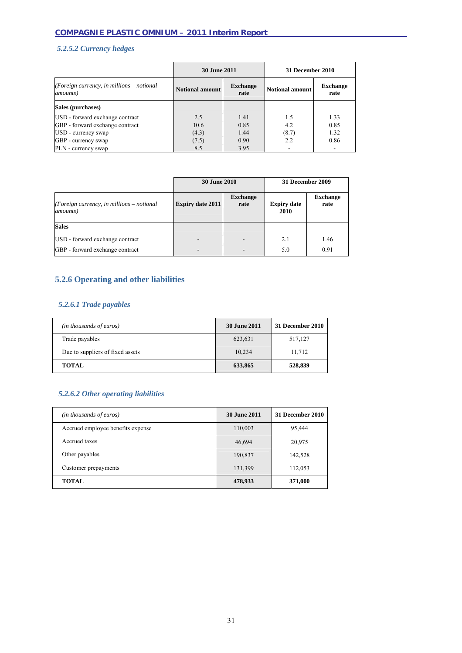# *5.2.5.2 Currency hedges*

|                                                                 | <b>30 June 2011</b>    |                         | 31 December 2010 |                         |  |
|-----------------------------------------------------------------|------------------------|-------------------------|------------------|-------------------------|--|
| (Foreign currency, in millions $-$ notional<br><i>amounts</i> ) | <b>Notional amount</b> | <b>Exchange</b><br>rate | Notional amount  | <b>Exchange</b><br>rate |  |
| Sales (purchases)                                               |                        |                         |                  |                         |  |
| USD - forward exchange contract                                 | 2.5                    | 1.41                    | 1.5              | 1.33                    |  |
| GBP - forward exchange contract                                 | 10.6                   | 0.85                    | 4.2              | 0.85                    |  |
| USD - currency swap                                             | (4.3)                  | 1.44                    | (8.7)            | 1.32                    |  |
| GBP - currency swap                                             | (7.5)                  | 0.90                    | 2.2              | 0.86                    |  |
| PLN - currency swap                                             | 8.5                    | 3.95                    |                  |                         |  |

|                                                                 | <b>30 June 2010</b>      |                         | 31 December 2009           |                         |
|-----------------------------------------------------------------|--------------------------|-------------------------|----------------------------|-------------------------|
| (Foreign currency, in millions $-$ notional<br><i>amounts</i> ) | Expiry date 2011         | <b>Exchange</b><br>rate | <b>Expiry date</b><br>2010 | <b>Exchange</b><br>rate |
| <b>Sales</b>                                                    |                          |                         |                            |                         |
| USD - forward exchange contract                                 | $\overline{\phantom{a}}$ |                         | 2.1                        | 1.46                    |
| GBP - forward exchange contract                                 | $\overline{\phantom{a}}$ |                         | 5.0                        | 0.91                    |

# **5.2.6 Operating and other liabilities**

# *5.2.6.1 Trade payables*

| (in thousands of euros)          | <b>30 June 2011</b> | 31 December 2010 |
|----------------------------------|---------------------|------------------|
| Trade payables                   | 623,631             | 517,127          |
| Due to suppliers of fixed assets | 10,234              | 11.712           |
| <b>TOTAL</b>                     | 633,865             | 528,839          |

# *5.2.6.2 Other operating liabilities*

| (in thousands of euros)           | 30 June 2011 | 31 December 2010 |
|-----------------------------------|--------------|------------------|
| Accrued employee benefits expense | 110,003      | 95,444           |
| Accrued taxes                     | 46,694       | 20,975           |
| Other payables                    | 190,837      | 142,528          |
| Customer prepayments              | 131,399      | 112,053          |
| <b>TOTAL</b>                      | 478,933      | 371,000          |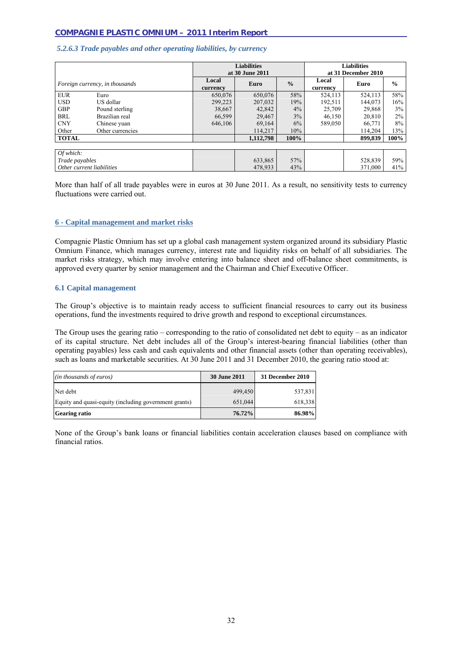#### *5.2.6.3 Trade payables and other operating liabilities, by currency*

|                |                                | <b>Liabilities</b><br>at 30 June 2011 |           |               | <b>Liabilities</b><br>at 31 December 2010 |         |               |
|----------------|--------------------------------|---------------------------------------|-----------|---------------|-------------------------------------------|---------|---------------|
|                | Foreign currency, in thousands | Local<br>currency                     | Euro      | $\frac{0}{0}$ | Local<br>currency                         | Euro    | $\frac{0}{0}$ |
| <b>EUR</b>     | Euro                           | 650,076                               | 650,076   | 58%           | 524,113                                   | 524,113 | 58%           |
| <b>USD</b>     | US dollar                      | 299,223                               | 207,032   | 19%           | 192,511                                   | 144.073 | 16%           |
| <b>GBP</b>     | Pound sterling                 | 38,667                                | 42,842    | 4%            | 25,709                                    | 29,868  | 3%            |
| <b>BRL</b>     | Brazilian real                 | 66,599                                | 29,467    | 3%            | 46,150                                    | 20,810  | 2%            |
| <b>CNY</b>     | Chinese yuan                   | 646,106                               | 69,164    | 6%            | 589,050                                   | 66,771  | 8%            |
| Other          | Other currencies               |                                       | 114,217   | 10%           |                                           | 114.204 | 13%           |
| <b>TOTAL</b>   |                                |                                       | 1,112,798 | 100%          |                                           | 899.839 | 100%          |
|                |                                |                                       |           |               |                                           |         |               |
| Of which:      |                                |                                       |           |               |                                           |         |               |
| Trade payables |                                |                                       | 633,865   | 57%           |                                           | 528,839 | 59%           |
|                | Other current liabilities      |                                       | 478,933   | 43%           |                                           | 371,000 | 41%           |

More than half of all trade payables were in euros at 30 June 2011. As a result, no sensitivity tests to currency fluctuations were carried out.

#### **6 - Capital management and market risks**

Compagnie Plastic Omnium has set up a global cash management system organized around its subsidiary Plastic Omnium Finance, which manages currency, interest rate and liquidity risks on behalf of all subsidiaries. The market risks strategy, which may involve entering into balance sheet and off-balance sheet commitments, is approved every quarter by senior management and the Chairman and Chief Executive Officer.

#### **6.1 Capital management**

The Group's objective is to maintain ready access to sufficient financial resources to carry out its business operations, fund the investments required to drive growth and respond to exceptional circumstances.

The Group uses the gearing ratio – corresponding to the ratio of consolidated net debt to equity – as an indicator of its capital structure. Net debt includes all of the Group's interest-bearing financial liabilities (other than operating payables) less cash and cash equivalents and other financial assets (other than operating receivables), such as loans and marketable securities. At 30 June 2011 and 31 December 2010, the gearing ratio stood at:

| ( <i>in thousands of euros</i> )                      | <b>30 June 2011</b> | 31 December 2010 |
|-------------------------------------------------------|---------------------|------------------|
| Net debt                                              | 499,450             | 537,831          |
| Equity and quasi-equity (including government grants) | 651,044             | 618,338          |
| <b>Gearing ratio</b>                                  | 76.72%              | 86.98%           |

None of the Group's bank loans or financial liabilities contain acceleration clauses based on compliance with financial ratios.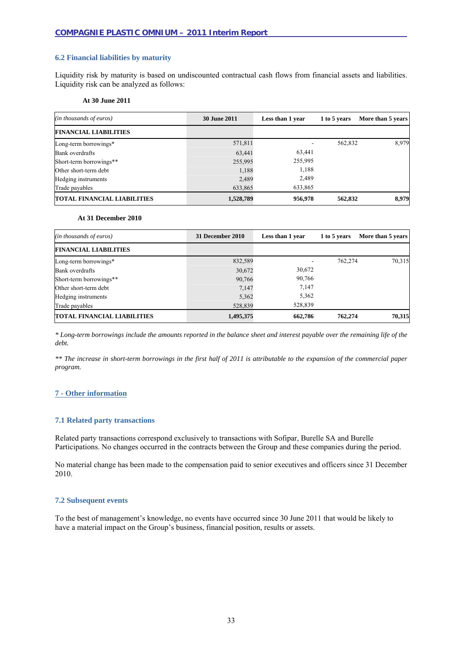# **6.2 Financial liabilities by maturity**

Liquidity risk by maturity is based on undiscounted contractual cash flows from financial assets and liabilities. Liquidity risk can be analyzed as follows:

#### **At 30 June 2011**

| (in thousands of euros)            | <b>30 June 2011</b> | Less than 1 year | 1 to 5 years | More than 5 years |
|------------------------------------|---------------------|------------------|--------------|-------------------|
| <b>FINANCIAL LIABILITIES</b>       |                     |                  |              |                   |
| Long-term borrowings*              | 571,811             |                  | 562,832      | 8,979             |
| Bank overdrafts                    | 63,441              | 63,441           |              |                   |
| Short-term borrowings**            | 255,995             | 255,995          |              |                   |
| Other short-term debt              | 1,188               | 1,188            |              |                   |
| Hedging instruments                | 2,489               | 2,489            |              |                   |
| Trade payables                     | 633,865             | 633,865          |              |                   |
| <b>TOTAL FINANCIAL LIABILITIES</b> | 1,528,789           | 956,978          | 562,832      | 8,979             |

#### **At 31 December 2010**

| (in thousands of euros)            | 31 December 2010 | Less than 1 year | 1 to 5 years | More than 5 years |
|------------------------------------|------------------|------------------|--------------|-------------------|
| <b>FINANCIAL LIABILITIES</b>       |                  |                  |              |                   |
| Long-term borrowings*              | 832,589          |                  | 762,274      | 70,315            |
| Bank overdrafts                    | 30,672           | 30,672           |              |                   |
| Short-term borrowings**            | 90,766           | 90,766           |              |                   |
| Other short-term debt              | 7,147            | 7,147            |              |                   |
| Hedging instruments                | 5,362            | 5,362            |              |                   |
| Trade payables                     | 528,839          | 528,839          |              |                   |
| <b>TOTAL FINANCIAL LIABILITIES</b> | 1,495,375        | 662,786          | 762,274      | 70,315            |

*\* Long-term borrowings include the amounts reported in the balance sheet and interest payable over the remaining life of the debt.* 

*\*\* The increase in short-term borrowings in the first half of 2011 is attributable to the expansion of the commercial paper program.* 

# **7 - Other information**

#### **7.1 Related party transactions**

Related party transactions correspond exclusively to transactions with Sofipar, Burelle SA and Burelle Participations. No changes occurred in the contracts between the Group and these companies during the period.

No material change has been made to the compensation paid to senior executives and officers since 31 December 2010.

#### **7.2 Subsequent events**

To the best of management's knowledge, no events have occurred since 30 June 2011 that would be likely to have a material impact on the Group's business, financial position, results or assets.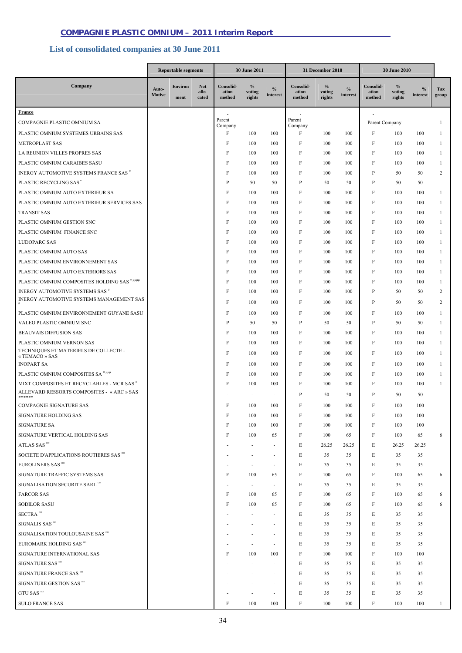**List of consolidated companies at 30 June 2011** 

|                                                         | <b>Reportable segments</b> |                        |                              | 30 June 2011                 |                          |                           |                              | 31 December 2010         |                  | <b>30 June 2010</b>          |                                   |                           |                     |
|---------------------------------------------------------|----------------------------|------------------------|------------------------------|------------------------------|--------------------------|---------------------------|------------------------------|--------------------------|------------------|------------------------------|-----------------------------------|---------------------------|---------------------|
| Company                                                 | Auto-<br>Motive            | <b>Environ</b><br>ment | <b>Not</b><br>allo-<br>cated | Consolid-<br>ation<br>method | $\%$<br>voting<br>rights | $\frac{0}{0}$<br>interest | Consolid-<br>ation<br>method | $\%$<br>voting<br>rights | $\%$<br>interest | Consolid-<br>ation<br>method | $\frac{6}{6}$<br>voting<br>rights | $\frac{0}{0}$<br>interest | <b>Tax</b><br>group |
| France                                                  |                            |                        |                              |                              |                          |                           |                              |                          |                  |                              |                                   |                           |                     |
| COMPAGNIE PLASTIC OMNIUM SA                             |                            |                        |                              | Parent<br>Company            |                          |                           | Parent<br>Company            |                          |                  | Parent Company               |                                   |                           | 1                   |
| PLASTIC OMNIUM SYSTEMES URBAINS SAS                     |                            |                        |                              | F                            | 100                      | 100                       | F                            | 100                      | 100              | F                            | 100                               | 100                       | $\mathbf{1}$        |
| <b>METROPLAST SAS</b>                                   |                            |                        |                              | F                            | 100                      | 100                       | F                            | 100                      | 100              | F                            | 100                               | 100                       | $\mathbf{1}$        |
| LA REUNION VILLES PROPRES SAS                           |                            |                        |                              | F                            | 100                      | 100                       | F                            | 100                      | 100              | F                            | 100                               | 100                       | $\mathbf{1}$        |
| PLASTIC OMNIUM CARAIBES SASU                            |                            |                        |                              | $\rm F$                      | 100                      | 100                       | $\mathbf F$                  | 100                      | 100              | $\mathbf{F}$                 | 100                               | 100                       | 1                   |
| INERGY AUTOMOTIVE SYSTEMS FRANCE SAS <sup>#</sup>       |                            |                        |                              | F                            | 100                      | 100                       | F                            | 100                      | 100              | P                            | 50                                | 50                        | $\overline{2}$      |
| PLASTIC RECYCLING SAS <sup>*</sup>                      |                            |                        |                              | $\mathbf{P}$                 | 50                       | 50                        | P                            | 50                       | 50               | $\mathbf{P}$                 | 50                                | 50                        |                     |
| PLASTIC OMNIUM AUTO EXTERIEUR SA                        |                            |                        |                              | F                            | 100                      | 100                       | F                            | 100                      | 100              | $\mathbf{F}$                 | 100                               | 100                       | $\mathbf{1}$        |
| PLASTIC OMNIUM AUTO EXTERIEUR SERVICES SAS              |                            |                        |                              | $\rm F$                      | 100                      | 100                       | $\mathbf F$                  | 100                      | 100              | $\mathbf{F}$                 | 100                               | 100                       | -1                  |
| <b>TRANSIT SAS</b>                                      |                            |                        |                              | $\rm F$                      | 100                      | 100                       | $\mathbf F$                  | 100                      | 100              | F                            | 100                               | 100                       | $\mathbf{1}$        |
| PLASTIC OMNIUM GESTION SNC                              |                            |                        |                              | F                            | 100                      | 100                       | F                            | 100                      | 100              | F                            | 100                               | 100                       | $\mathbf{1}$        |
| PLASTIC OMNIUM FINANCE SNC                              |                            |                        |                              | F                            | 100                      | 100                       | $\mathbf F$                  | 100                      | 100              | F                            | 100                               | 100                       | $\mathbf{1}$        |
| <b>LUDOPARC SAS</b>                                     |                            |                        |                              | F                            | 100                      | 100                       | $\mathbf F$                  | 100                      | 100              | $\mathbf{F}$                 | 100                               | 100                       | $\mathbf{1}$        |
| PLASTIC OMNIUM AUTO SAS                                 |                            |                        |                              | F                            | 100                      | 100                       | F                            | 100                      | 100              | F                            | 100                               | 100                       | $\mathbf{1}$        |
| PLASTIC OMNIUM ENVIRONNEMENT SAS                        |                            |                        |                              | F                            | 100                      | 100                       | F                            | 100                      | 100              | $\mathbf{F}$                 | 100                               | 100                       | $\mathbf{1}$        |
| PLASTIC OMNIUM AUTO EXTERIORS SAS                       |                            |                        |                              | F                            | 100                      | 100                       | $\mathbf F$                  | 100                      | 100              | $\mathbf{F}$                 | 100                               | 100                       | $\mathbf{1}$        |
| PLASTIC OMNIUM COMPOSITES HOLDING SAS <sup>" HHHH</sup> |                            |                        |                              | $\rm F$                      | 100                      | 100                       | $\mathbf F$                  | 100                      | 100              | $\mathbf{F}$                 | 100                               | 100                       | $\mathbf{1}$        |
| INERGY AUTOMOTIVE SYSTEMS SAS <sup>#</sup>              |                            |                        |                              | F                            |                          | 100                       | F                            | 100                      | 100              | P                            | 50                                |                           |                     |
| INERGY AUTOMOTIVE SYSTEMS MANAGEMENT SAS                |                            |                        |                              |                              | 100                      |                           |                              |                          |                  |                              |                                   | 50                        | 2                   |
|                                                         |                            |                        |                              | F                            | 100                      | 100                       | $\mathbf F$                  | 100                      | 100              | P                            | 50                                | 50                        | 2                   |
| PLASTIC OMNIUM ENVIRONNEMENT GUYANE SASU                |                            |                        |                              | F                            | 100                      | 100                       | $\mathbf F$                  | 100                      | 100              | $\mathbf{F}$                 | 100                               | 100                       | $\mathbf{1}$        |
| VALEO PLASTIC OMNIUM SNC                                |                            |                        |                              | P                            | 50                       | 50                        | P                            | 50                       | 50               | P                            | 50                                | 50                        | $\mathbf{1}$        |
| <b>BEAUVAIS DIFFUSION SAS</b>                           |                            |                        |                              | $\rm F$                      | 100                      | 100                       | $\mathbf F$                  | 100                      | 100              | $\mathbf{F}$                 | 100                               | 100                       | -1                  |
| PLASTIC OMNIUM VERNON SAS                               |                            |                        |                              | F                            | 100                      | 100                       | F                            | 100                      | 100              | F                            | 100                               | 100                       | $\mathbf{1}$        |
| TECHNIQUES ET MATERIELS DE COLLECTE -<br>« TEMACO » SAS |                            |                        |                              | F                            | 100                      | 100                       | $\mathbf F$                  | 100                      | 100              | F                            | 100                               | 100                       | $\mathbf{1}$        |
| <b>INOPART SA</b>                                       |                            |                        |                              | F                            | 100                      | 100                       | $\mathbf F$                  | 100                      | 100              | $\boldsymbol{\mathrm{F}}$    | 100                               | 100                       | $\mathbf{1}$        |
| PLASTIC OMNIUM COMPOSITES SA <sup>D HHH</sup>           |                            |                        |                              | F                            | 100                      | 100                       | F                            | 100                      | 100              | $\mathbf{F}$                 | 100                               | 100                       | $\mathbf{1}$        |
| MIXT COMPOSITES ET RECYCLABLES - MCR SAS <sup>®</sup>   |                            |                        |                              | F                            | 100                      | 100                       | F                            | 100                      | 100              | $\mathbf{F}$                 | 100                               | 100                       | $\mathbf{1}$        |
| ALLEVARD RESSORTS COMPOSITES - « ARC » SAS<br>******    |                            |                        |                              |                              | $\overline{\phantom{a}}$ | $\overline{\phantom{a}}$  | P                            | 50                       | 50               | P                            | 50                                | 50                        |                     |
| COMPAGNIE SIGNATURE SAS                                 |                            |                        |                              | F                            | 100                      | 100                       | F                            | 100                      | 100              | F                            | 100                               | 100                       |                     |
| SIGNATURE HOLDING SAS                                   |                            |                        |                              | F                            | 100                      | 100                       | $\mathbf F$                  | 100                      | 100              | $\mathbf F$                  | 100                               | 100                       |                     |
| <b>SIGNATURE SA</b>                                     |                            |                        |                              | F                            | 100                      | 100                       | $\mathbf F$                  | 100                      | 100              | F                            | 100                               | 100                       |                     |
| SIGNATURE VERTICAL HOLDING SAS                          |                            |                        |                              | F                            | 100                      | 65                        | $\mathbf F$                  | 100                      | 65               | $\rm F$                      | 100                               | 65                        | 6                   |
| ATLAS SAS $^{\text{no}}$                                |                            |                        |                              |                              |                          |                           | E                            | 26.25                    | 26.25            | E                            | 26.25                             | 26.25                     |                     |
| SOCIETE D'APPLICATIONS ROUTIERES SAS <sup>ED</sup>      |                            |                        |                              |                              |                          | $\overline{\phantom{a}}$  | E                            | 35                       | 35               | E                            | 35                                | 35                        |                     |
| EUROLINERS SAS <sup>®®</sup>                            |                            |                        |                              |                              | ٠                        | ٠                         | E                            | 35                       | 35               | E                            | 35                                | 35                        |                     |
| SIGNATURE TRAFFIC SYSTEMS SAS                           |                            |                        |                              | F                            | 100                      | 65                        | $\mathbf F$                  | 100                      | 65               | F                            | 100                               | 65                        | 6                   |
| SIGNALISATION SECURITE SARL $^\text{no}$                |                            |                        |                              |                              | $\overline{\phantom{a}}$ | ٠                         | E                            | 35                       | 35               | E                            | 35                                | 35                        |                     |
|                                                         |                            |                        |                              |                              |                          |                           | $\mathbf F$                  |                          |                  | F                            |                                   |                           |                     |
| <b>FARCOR SAS</b>                                       |                            |                        |                              | F                            | 100                      | 65                        |                              | 100                      | 65               |                              | 100                               | 65                        | 6                   |
| <b>SODILOR SASU</b>                                     |                            |                        |                              | F                            | 100                      | 65                        | F                            | 100                      | 65               | $\rm F$                      | 100                               | 65                        | 6                   |
| SECTRA <sup>cco</sup>                                   |                            |                        |                              |                              |                          | ٠                         | E                            | 35                       | 35               | E                            | 35                                | 35                        |                     |
| SIGNALIS SAS <sup>®®</sup>                              |                            |                        |                              |                              |                          | ٠                         | E                            | 35                       | 35               | E                            | 35                                | 35                        |                     |
| SIGNALISATION TOULOUSAINE SAS <sup>on</sup>             |                            |                        |                              |                              |                          | $\blacksquare$            | E                            | 35                       | 35               | E                            | 35                                | 35                        |                     |
| EUROMARK HOLDING SAS <sup>30</sup>                      |                            |                        |                              |                              | $\overline{\phantom{a}}$ | $\sim$                    | E                            | 35                       | 35               | E                            | 35                                | 35                        |                     |
| SIGNATURE INTERNATIONAL SAS                             |                            |                        |                              | F                            | 100                      | 100                       | $\mathbf F$                  | 100                      | 100              | F                            | 100                               | 100                       |                     |
| SIGNATURE SAS <sup>co</sup>                             |                            |                        |                              |                              | $\overline{\phantom{a}}$ | ٠                         | E                            | 35                       | 35               | E                            | 35                                | 35                        |                     |
| SIGNATURE FRANCE SAS <sup>an</sup>                      |                            |                        |                              |                              |                          | ٠                         | E                            | 35                       | 35               | E                            | 35                                | 35                        |                     |
| SIGNATURE GESTION SAS <sup>00</sup>                     |                            |                        |                              |                              |                          | ٠                         | E                            | 35                       | 35               | E                            | 35                                | 35                        |                     |
| GTU SAS <sup>on</sup>                                   |                            |                        |                              |                              |                          | $\overline{\phantom{a}}$  | E                            | 35                       | 35               | E                            | 35                                | 35                        |                     |
| <b>SULO FRANCE SAS</b>                                  |                            |                        |                              | F                            | 100                      | 100                       | F                            | 100                      | 100              | F                            | 100                               | 100                       | $\mathbf{1}$        |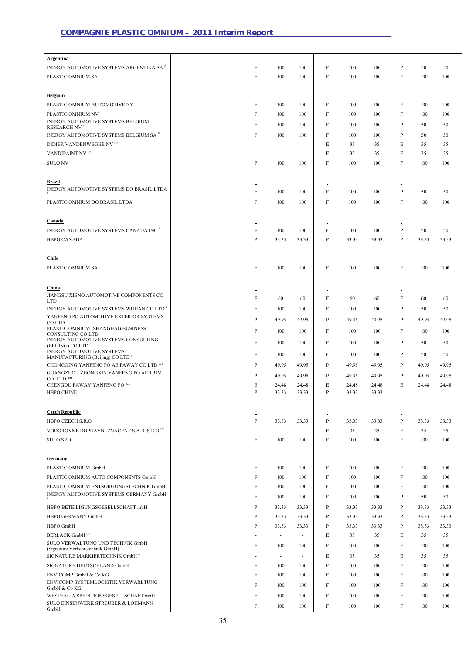| Argentina                                                                       |              |                          |                          |              |       |       |              |        |              |
|---------------------------------------------------------------------------------|--------------|--------------------------|--------------------------|--------------|-------|-------|--------------|--------|--------------|
| INERGY AUTOMOTIVE SYSTEMS ARGENTINA SA <sup>#</sup>                             | F            | 100                      | 100                      | F            | 100   | 100   | P            | 50     | 50           |
| PLASTIC OMNIUM SA                                                               | F            | 100                      | 100                      | F            | 100   | 100   | $\rm F$      | 100    | 100          |
|                                                                                 |              |                          |                          |              |       |       |              |        |              |
|                                                                                 |              |                          |                          |              |       |       |              |        |              |
| <b>Belgium</b>                                                                  | F            | 100                      | 100                      | F            | 100   | 100   | F            | 100    | 100          |
| PLASTIC OMNIUM AUTOMOTIVE NV                                                    |              |                          |                          |              |       |       |              |        |              |
| PLASTIC OMNIUM NV<br>INERGY AUTOMOTIVE SYSTEMS BELGIUM                          | F            | 100                      | 100                      | F            | 100   | 100   | F            | 100    | 100          |
| <b>RESEARCH NV<sup>#</sup></b>                                                  | F            | 100                      | 100                      | F            | 100   | 100   | P            | 50     | 50           |
| INERGY AUTOMOTIVE SYSTEMS BELGIUM SA <sup>#</sup>                               | F            | 100                      | 100                      | F            | 100   | 100   | P            | 50     | 50           |
| DIDIER VANDENWEGHE NV <sup>on</sup>                                             |              | ٠                        | ٠                        | Е            | 35    | 35    | E            | 35     | 35           |
| VANDIPAINT NV <sup>EC</sup>                                                     |              | ٠                        | ٠                        | Е            | 35    | 35    | E            | 35     | 35           |
| <b>SULONV</b>                                                                   | F            | 100                      | 100                      | F            | 100   | 100   | F            | 100    | 100          |
|                                                                                 |              |                          |                          |              |       |       |              |        |              |
| <b>Brazil</b>                                                                   |              |                          |                          |              |       |       |              |        |              |
| INERGY AUTOMOTIVE SYSTEMS DO BRASIL LTDA                                        | F            | 100                      | 100                      | F            | 100   | 100   | P            | 50     | 50           |
|                                                                                 |              |                          |                          |              |       |       |              |        |              |
| PLASTIC OMNIUM DO BRASIL LTDA                                                   | F            | 100                      | 100                      | F            | 100   | 100   | F            | 100    | 100          |
|                                                                                 |              |                          |                          |              |       |       |              |        |              |
| <b>Canada</b>                                                                   |              |                          |                          |              |       |       |              |        |              |
| INERGY AUTOMOTIVE SYSTEMS CANADA INC <sup>#</sup>                               | F            | 100                      | 100                      | F            | 100   | 100   | P            | 50     | 50           |
| <b>HBPO CANADA</b>                                                              | P            | 33.33                    | 33.33                    | P            | 33.33 | 33.33 | P            | 33.33  | 33.33        |
|                                                                                 |              |                          |                          |              |       |       |              |        |              |
| <b>Chile</b>                                                                    |              |                          |                          |              |       |       |              |        |              |
| PLASTIC OMNIUM SA                                                               | F            | 100                      | 100                      | F            | 100   | 100   | $\mathbf{F}$ | 100    | 100          |
|                                                                                 |              |                          |                          |              |       |       |              |        |              |
| China                                                                           |              |                          |                          |              |       |       |              |        |              |
| JIANGSU XIENO AUTOMOTIVE COMPONENTS CO                                          | F            |                          |                          | F            |       |       | $\mathbf{F}$ |        |              |
| <b>LTD</b>                                                                      |              | 60                       | 60                       |              | 60    | 60    |              | 60     | 60           |
| INERGY AUTOMOTIVE SYSTEMS WUHAN CO LTD <sup>#</sup>                             | F            | 100                      | 100                      | F            | 100   | 100   | P            | 50     | 50           |
| YANFENG PO AUTOMOTIVE EXTERIOR SYSTEMS<br>CO LTD                                | P            | 49.95                    | 49.95                    | P            | 49.95 | 49.95 | P            | 49.95  | 49.95        |
| PLASTIC OMNIUM (SHANGHAÏ) BUSINESS                                              | F            | 100                      | 100                      | F            | 100   | 100   | F            | 100    | 100          |
| CONSULTING CO LTD<br>INERGY AUTOMOTIVE SYSTEMS CONSULTING                       |              |                          |                          |              |       |       |              |        |              |
| (BEIJING) CO LTD <sup>#</sup>                                                   | F            | 100                      | 100                      | F            | 100   | 100   | P            | 50     | 50           |
| <b>INERGY AUTOMOTIVE SYSTEMS</b><br>MANUFACTURING (Beijing) CO LTD <sup>#</sup> | F            | 100                      | 100                      | F            | 100   | 100   | P            | 50     | 50           |
| CHONGQING YANFENG PO AE FAWAY CO LTD **                                         | P            | 49.95                    | 49.95                    | P            | 49.95 | 49.95 | P            | 49.95  | 49.95        |
| GUANGZHOU ZHONGXIN YANFENG PO AE TRIM                                           | P            | 49.95                    | 49.95                    | P            | 49.95 | 49.95 | P            | 49.95  | 49.95        |
| CO LTD**<br>CHENGDU FAWAY YANFENG PO **                                         | Е            | 24.48                    | 24.48                    | E            | 24.48 | 24.48 | E            | 24.48  | 24.48        |
| <b>HBPO CHINE</b>                                                               | P            | 33.33                    | 33.33                    | P            | 33.33 | 33.33 | ٠            | $\sim$ | $\mathbf{r}$ |
|                                                                                 |              |                          |                          |              |       |       |              |        |              |
|                                                                                 |              |                          |                          |              |       |       |              |        |              |
| <b>Czech Republic</b>                                                           |              |                          |                          |              |       |       |              |        |              |
| HBPO CZECH S.R.O                                                                | $\mathbf{P}$ | 33.33                    | 33.33                    | $\, {\bf p}$ | 33.33 | 33.33 | $\mathbf{P}$ | 33.33  | 33.33        |
| VODOROVNE DOPRAVNI ZNACENT S.A.R S.R.O OD                                       |              | $\overline{\phantom{a}}$ | $\overline{\phantom{a}}$ | Е            | 35    | 35    | E            | 35     | 35           |
| <b>SULO SRO</b>                                                                 | F            | 100                      | 100                      | F            | 100   | 100   | $\mathbf{F}$ | 100    | 100          |
|                                                                                 |              |                          |                          |              |       |       |              |        |              |
| <b>Germany</b>                                                                  |              |                          |                          |              |       |       |              |        |              |
| PLASTIC OMNIUM GmbH                                                             | F            | 100                      | 100                      | F            | 100   | 100   | $\mathbf{F}$ | 100    | 100          |
| PLASTIC OMNIUM AUTO COMPONENTS GmbH                                             | F            | 100                      | 100                      | F            | 100   | 100   | $\mathbf{F}$ | 100    | 100          |
| PLASTIC OMNIUM ENTSORGUNGSTECHNIK GmbH                                          | F            | 100                      | 100                      | F            | 100   | 100   | $\mathbf{F}$ | 100    | 100          |
| <b>INERGY AUTOMOTIVE SYSTEMS GERMANY GmbH</b>                                   | F            | 100                      | 100                      | F            | 100   | 100   | P            | 50     | 50           |
| HBPO BETEILIGUNGSGESELLSCHAFT mbH                                               | P            | 33.33                    | 33.33                    | P            | 33.33 | 33.33 | P            | 33.33  | 33.33        |
| HBPO GERMANY GmbH                                                               | P            | 33.33                    | 33.33                    | P            | 33.33 | 33.33 | $\mathbf{P}$ | 33.33  | 33.33        |
| HBPO GmbH                                                                       | P            | 33.33                    | 33.33                    | P            | 33.33 | 33.33 | $\, {\bf P}$ | 33.33  | 33.33        |
| <b>BERLACK GmbH</b> <sup>com</sup>                                              |              |                          |                          |              |       |       | E            |        |              |
| SULO VERWALTUNG UND TECHNIK GmbH                                                |              | $\overline{\phantom{a}}$ | $\overline{\phantom{a}}$ | Е            | 35    | 35    |              | 35     | 35           |
| (Signature Verkehrstechnik GmbH)                                                | F            | 100                      | 100                      | F            | 100   | 100   | $\mathbf{F}$ | 100    | 100          |
| SIGNATURE MARKIERTECHNIK GmbH mm                                                |              | $\overline{\phantom{a}}$ | $\sim$                   | E            | 35    | 35    | E            | 35     | 35           |
| SIGNATURE DEUTSCHLAND GmbH                                                      | F            | 100                      | 100                      | F            | 100   | 100   | $\mathbf{F}$ | 100    | 100          |
| ENVICOMP GmbH & Co KG                                                           | F            | 100                      | 100                      | F            | 100   | 100   | $\mathbf{F}$ | 100    | 100          |
| ENVICOMP SYSTEMLOGISTIK VERWARLTUNG                                             | F            | 100                      | 100                      | F            | 100   | 100   | $\rm F$      | 100    | 100          |
| GmbH & Co KG<br>WESTFALIA SPEDITIONSGESELLSCHAFT mbH                            | F            | 100                      | 100                      | F            | 100   | 100   | F            | 100    | 100          |
| SULO EINSENWERK STREUBER & LOHMANN                                              |              |                          |                          |              |       |       |              |        |              |
| GmbH                                                                            | F            | 100                      | 100                      | F            | 100   | 100   | $\mathbf{F}$ | 100    | 100          |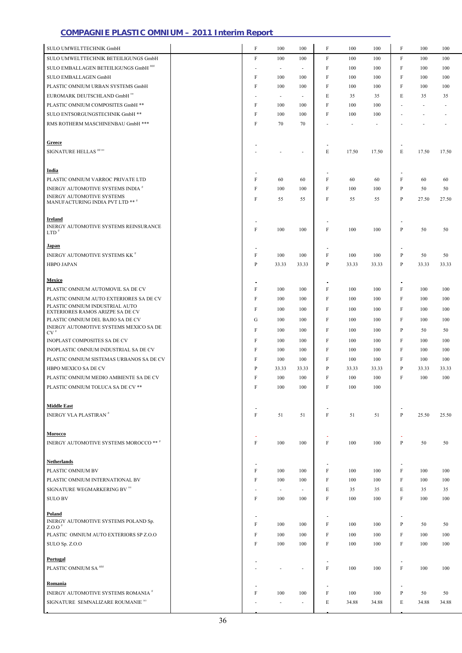| <b>SULO UMWELTTECHNIK GmbH</b>                                            | F           | 100                      | 100                      | F            | 100   | 100   | $\boldsymbol{\mathrm{F}}$ | 100   | 100   |
|---------------------------------------------------------------------------|-------------|--------------------------|--------------------------|--------------|-------|-------|---------------------------|-------|-------|
| SULO UMWELTTECHNIK BETEILIGUNGS GmbH                                      | $\rm F$     | 100                      | 100                      | F            | 100   | 100   | $\mathbf{F}$              | 100   | 100   |
| SULO EMBALLAGEN BETEILIGUNGS GmbH <sup>###</sup>                          |             |                          |                          | F            | 100   | 100   | F                         | 100   | 100   |
| SULO EMBALLAGEN GmbH                                                      | F           | 100                      | 100                      | F            | 100   | 100   | F                         | 100   | 100   |
| PLASTIC OMNIUM URBAN SYSTEMS GmbH                                         | F           | 100                      | 100                      | F            | 100   | 100   | F                         | 100   | 100   |
| EUROMARK DEUTSCHLAND GmbH TI                                              |             | $\sim$                   | $\overline{\phantom{a}}$ | Е            | 35    | 35    | E                         | 35    | 35    |
| PLASTIC OMNIUM COMPOSITES GmbH **                                         | F           | 100                      | 100                      | F            | 100   | 100   |                           |       |       |
| SULO ENTSORGUNGSTECHNIK GmbH **                                           | F           | 100                      | 100                      | F            | 100   | 100   |                           |       |       |
| RMS ROTHERM MASCHINENBAU GmbH ***                                         | F           | 70                       | 70                       |              |       |       |                           |       |       |
|                                                                           |             |                          |                          |              |       |       |                           |       |       |
| <b>Greece</b>                                                             |             |                          |                          |              |       |       |                           |       |       |
| SIGNATURE HELLAS <sup>## 00</sup>                                         |             |                          |                          | E            | 17.50 | 17.50 | E                         | 17.50 | 17.50 |
|                                                                           |             |                          |                          |              |       |       |                           |       |       |
| India                                                                     |             |                          |                          |              |       |       |                           |       |       |
| PLASTIC OMNIUM VARROC PRIVATE LTD                                         | F           | 60                       | 60                       | F            | 60    | 60    | F                         | 60    | 60    |
| INERGY AUTOMOTIVE SYSTEMS INDIA #<br><b>INERGY AUTOMOTIVE SYSTEMS</b>     | F           | 100                      | 100                      | F            | 100   | 100   | P                         | 50    | 50    |
| MANUFACTURING INDIA PVT LTD ** #                                          | F           | 55                       | 55                       | F            | 55    | 55    | P                         | 27.50 | 27.50 |
|                                                                           |             |                          |                          |              |       |       |                           |       |       |
| Ireland<br>INERGY AUTOMOTIVE SYSTEMS REINSURANCE                          |             |                          |                          |              |       |       |                           |       |       |
| <b>LTD</b>                                                                | F           | 100                      | 100                      | F            | 100   | 100   | P                         | 50    | 50    |
| <u>Japan</u>                                                              |             |                          |                          |              |       |       |                           |       |       |
| <b>INERGY AUTOMOTIVE SYSTEMS KK</b> <sup>#</sup>                          | F           | 100                      | 100                      | F            | 100   | 100   | P                         | 50    | 50    |
| <b>HBPO JAPAN</b>                                                         | P           | 33.33                    | 33.33                    | P            | 33.33 | 33.33 | $\mathbf{P}$              | 33.33 | 33.33 |
|                                                                           |             |                          |                          |              |       |       |                           |       |       |
| Mexico                                                                    |             |                          |                          |              |       |       |                           |       |       |
| PLASTIC OMNIUM AUTOMOVIL SA DE CV                                         | F           | 100                      | 100                      | F            | 100   | 100   | F                         | 100   | 100   |
| PLASTIC OMNIUM AUTO EXTERIORES SA DE CV                                   | F           | 100                      | 100                      | F            | 100   | 100   | F                         | 100   | 100   |
| PLASTIC OMNIUM INDUSTRIAL AUTO<br><b>EXTERIORES RAMOS ARIZPE SA DE CV</b> | F           | 100                      | 100                      | F            | 100   | 100   | F                         | 100   | 100   |
| PLASTIC OMNIUM DEL BAJIO SA DE CV                                         | G           | 100                      | 100                      | F            | 100   | 100   | F                         | 100   | 100   |
| INERGY AUTOMOTIVE SYSTEMS MEXICO SA DE<br>$CV^*$                          | F           | 100                      | 100                      | F            | 100   | 100   | P                         | 50    | 50    |
| INOPLAST COMPOSITES SA DE CV                                              | F           | 100                      | 100                      | F            | 100   | 100   | F                         | 100   | 100   |
| INOPLASTIC OMNIUM INDUSTRIAL SA DE CV                                     | F           | 100                      | 100                      | F            | 100   | 100   | F                         | 100   | 100   |
| PLASTIC OMNIUM SISTEMAS URBANOS SA DE CV                                  | F           | 100                      | 100                      | F            | 100   | 100   | F                         | 100   | 100   |
| HBPO MEXICO SA DE CV                                                      | P           | 33.33                    | 33.33                    | P            | 33.33 | 33.33 | P                         | 33.33 | 33.33 |
| PLASTIC OMNIUM MEDIO AMBIENTE SA DE CV                                    | F           | 100                      | 100                      | F            | 100   | 100   | F                         | 100   | 100   |
| PLASTIC OMNIUM TOLUCA SA DE CV **                                         | F           | 100                      | 100                      | F            | 100   | 100   |                           |       |       |
|                                                                           |             |                          |                          |              |       |       |                           |       |       |
| <b>Middle East</b>                                                        |             |                          |                          |              |       |       |                           |       |       |
| <b>INERGY VLA PLASTIRAN<sup>#</sup></b>                                   | $\rm F$     | 51                       | 51                       | $\mathbf{F}$ | 51    | 51    | $\mathbf{P}$              | 25.50 | 25.50 |
|                                                                           |             |                          |                          |              |       |       |                           |       |       |
| <b>Morocco</b><br>INERGY AUTOMOTIVE SYSTEMS MOROCCO ** #                  | $\mathbf F$ | 100                      | 100                      | $\mathbf{F}$ | 100   | 100   | $\mathbf{P}$              | 50    | 50    |
|                                                                           |             |                          |                          |              |       |       |                           |       |       |
| <b>Netherlands</b>                                                        |             |                          |                          |              |       |       |                           |       |       |
| PLASTIC OMNIUM BV                                                         | F           | 100                      | 100                      | F            | 100   | 100   | F                         | 100   | 100   |
| PLASTIC OMNIUM INTERNATIONAL BV                                           | F           | 100                      | 100                      | F            | 100   | 100   | F                         | 100   | 100   |
| SIGNATURE WEGMARKERING BV <sup>on</sup>                                   |             | $\sim$                   |                          | Е            | 35    | 35    | E                         | 35    | 35    |
| <b>SULO BV</b>                                                            | F           | 100                      | 100                      | F            | 100   | 100   | F                         | 100   | 100   |
|                                                                           |             |                          |                          |              |       |       |                           |       |       |
| Poland<br>INERGY AUTOMOTIVE SYSTEMS POLAND Sp.                            |             |                          |                          |              |       |       | $\blacksquare$            |       |       |
| $Z.0.0^*$                                                                 | F           | 100                      | 100                      | F            | 100   | 100   | $\mathbf{P}$              | 50    | 50    |
| PLASTIC OMNIUM AUTO EXTERIORS SP Z.O.O                                    | F           | 100                      | 100                      | F            | 100   | 100   | F                         | 100   | 100   |
| SULO Sp. Z.O.O                                                            | F           | 100                      | 100                      | F            | 100   | 100   | F                         | 100   | 100   |
| <b>Portugal</b>                                                           |             |                          |                          |              |       |       |                           |       |       |
| PLASTIC OMNIUM SA <sup>###</sup>                                          |             |                          |                          | F            | 100   | 100   | $\sim$<br>F               | 100   | 100   |
|                                                                           |             |                          |                          |              |       |       |                           |       |       |
| Romania                                                                   |             |                          |                          |              |       |       |                           |       |       |
| <b>INERGY AUTOMOTIVE SYSTEMS ROMANIA</b> <sup>#</sup>                     | F           | 100                      | 100                      | F            | 100   | 100   | P                         | 50    | 50    |
| SIGNATURE SEMNALIZARE ROUMANIE <sup>®</sup>                               |             | $\overline{\phantom{a}}$ | $\overline{a}$           | Е            | 34.88 | 34.88 | E                         | 34.88 | 34.88 |
|                                                                           |             |                          |                          |              |       |       |                           |       |       |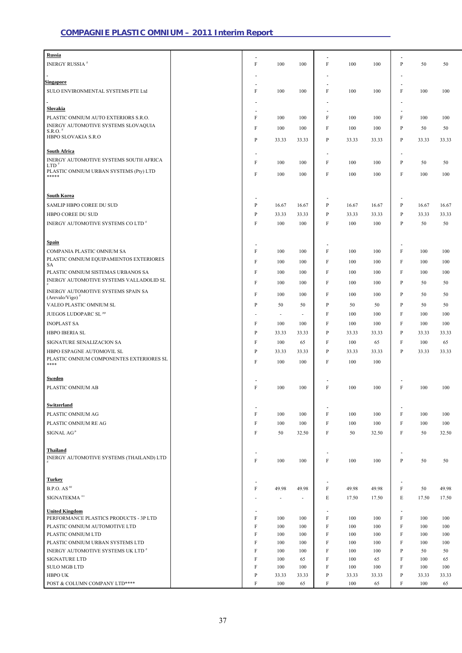| <b>Russia</b>                                                   |                           |                          |                          |                           |       |       |                           |       |       |
|-----------------------------------------------------------------|---------------------------|--------------------------|--------------------------|---------------------------|-------|-------|---------------------------|-------|-------|
| <b>INERGY RUSSIA</b> <sup>#</sup>                               | F                         | 100                      | 100                      | F                         | 100   | 100   | $\mathbf{P}$              | 50    | 50    |
|                                                                 |                           |                          |                          |                           |       |       |                           |       |       |
| <b>Singapore</b>                                                |                           |                          |                          |                           |       |       |                           |       |       |
| SULO ENVIRONMENTAL SYSTEMS PTE Ltd                              | F                         | 100                      | 100                      | F                         | 100   | 100   | F                         | 100   | 100   |
|                                                                 |                           |                          |                          |                           |       |       |                           |       |       |
| Slovakia                                                        |                           |                          |                          |                           |       |       |                           |       |       |
| PLASTIC OMNIUM AUTO EXTERIORS S.R.O.                            | F                         | 100                      | 100                      | F                         | 100   | 100   | F                         | 100   | 100   |
| INERGY AUTOMOTIVE SYSTEMS SLOVAQUIA<br>S.R.O.                   | F                         | 100                      | 100                      | F                         | 100   | 100   | P                         | 50    | 50    |
| HBPO SLOVAKIA S.R.O                                             | P                         | 33.33                    | 33.33                    | P                         | 33.33 | 33.33 | $\mathbf{P}$              | 33.33 | 33.33 |
|                                                                 |                           |                          |                          |                           |       |       |                           |       |       |
| <b>South Africa</b>                                             |                           |                          |                          |                           |       |       | $\sim$                    |       |       |
| INERGY AUTOMOTIVE SYSTEMS SOUTH AFRICA<br>LTD <sup>'</sup>      | F                         | 100                      | 100                      | F                         | 100   | 100   | $\mathbf{P}$              | 50    | 50    |
| PLASTIC OMNIUM URBAN SYSTEMS (Pty) LTD<br>*****                 | F                         | 100                      | 100                      | F                         | 100   | 100   | F                         | 100   | 100   |
|                                                                 |                           |                          |                          |                           |       |       |                           |       |       |
|                                                                 |                           |                          |                          |                           |       |       |                           |       |       |
| <b>South Korea</b>                                              |                           |                          |                          |                           |       |       |                           |       |       |
| SAMLIP HBPO COREE DU SUD                                        | P                         | 16.67                    | 16.67                    | P                         | 16.67 | 16.67 | $\mathbf{P}$              | 16.67 | 16.67 |
| HBPO COREE DU SUD                                               | P                         | 33.33                    | 33.33                    | P                         | 33.33 | 33.33 | $\mathbf{P}$              | 33.33 | 33.33 |
| INERGY AUTOMOTIVE SYSTEMS CO LTD <sup>#</sup>                   | F                         | 100                      | 100                      | F                         | 100   | 100   | $\mathbf{P}$              | 50    | 50    |
|                                                                 |                           |                          |                          |                           |       |       |                           |       |       |
| <b>Spain</b>                                                    |                           |                          |                          |                           |       |       |                           |       |       |
| COMPANIA PLASTIC OMNIUM SA                                      | F                         | 100                      | 100                      | F                         | 100   | 100   | F                         | 100   | 100   |
| PLASTIC OMNIUM EQUIPAMIENTOS EXTERIORES<br>SA                   | F                         | 100                      | 100                      | F                         | 100   | 100   | F                         | 100   | 100   |
| PLASTIC OMNIUM SISTEMAS URBANOS SA                              | F                         | 100                      | 100                      | F                         | 100   | 100   | F                         | 100   | 100   |
| INERGY AUTOMOTIVE SYSTEMS VALLADOLID SL                         | F                         | 100                      | 100                      | F                         | 100   | 100   | P                         | 50    | 50    |
| INERGY AUTOMOTIVE SYSTEMS SPAIN SA                              |                           |                          |                          |                           |       |       |                           |       |       |
| $(Arevalo/Vigo)$ <sup>#</sup>                                   | F                         | 100                      | 100                      | F                         | 100   | 100   | P                         | 50    | 50    |
| VALEO PLASTIC OMNIUM SL                                         | P                         | 50                       | 50                       | $\mathbf{P}$              | 50    | 50    | $\mathbf{P}$              | 50    | 50    |
| JUEGOS LUDOPARC SL <sup>HH</sup>                                |                           |                          |                          | F                         | 100   | 100   | F                         | 100   | 100   |
| <b>INOPLAST SA</b>                                              | F                         | 100                      | 100                      | F                         | 100   | 100   | F                         | 100   | 100   |
| <b>HBPO IBERIA SL</b>                                           | P                         | 33.33                    | 33.33                    | P                         | 33.33 | 33.33 | $\mathbf{P}$              | 33.33 | 33.33 |
| SIGNATURE SENALIZACION SA                                       | F                         | 100                      | 65                       | F                         | 100   | 65    | F                         | 100   | 65    |
| HBPO ESPAGNE AUTOMOVIL SL                                       | P                         | 33.33                    | 33.33                    | $\mathbf{P}$              | 33.33 | 33.33 | $\mathbf{P}$              | 33.33 | 33.33 |
| PLASTIC OMNIUM COMPONENTES EXTERIORES SL<br>****                | F                         | 100                      | 100                      | F                         | 100   | 100   |                           |       |       |
|                                                                 |                           |                          |                          |                           |       |       |                           |       |       |
| Sweden                                                          |                           |                          |                          |                           |       |       |                           |       |       |
| PLASTIC OMNIUM AB                                               | F                         | 100                      | 100                      | F                         | 100   | 100   | F                         | 100   | 100   |
|                                                                 |                           |                          |                          |                           |       |       |                           |       |       |
| Switzerland                                                     |                           |                          |                          |                           |       |       |                           |       |       |
| PLASTIC OMNIUM AG                                               | F                         | 100                      | 100                      | F                         | 100   | 100   | F                         | 100   | 100   |
| PLASTIC OMNIUM RE AG                                            | F                         | 100                      | 100                      | F                         | 100   | 100   | F                         | 100   | 100   |
| SIGNAL AG <sup><math>\mu</math></sup>                           | F                         | 50                       | 32.50                    | F                         | 50    | 32.50 | F                         | 50    | 32.50 |
|                                                                 |                           |                          |                          |                           |       |       |                           |       |       |
| <b>Thailand</b>                                                 |                           |                          |                          |                           |       |       |                           |       |       |
| INERGY AUTOMOTIVE SYSTEMS (THAILAND) LTD                        | $\boldsymbol{\mathrm{F}}$ | 100                      | 100                      | $\boldsymbol{\mathrm{F}}$ | 100   | 100   | $\, {\bf p}$              | 50    | 50    |
|                                                                 |                           |                          |                          |                           |       |       |                           |       |       |
| <b>Turkey</b>                                                   |                           |                          |                          |                           |       |       |                           |       |       |
| B.P.O. AS'''                                                    | F                         | 49.98                    | 49.98                    | F                         | 49.98 | 49.98 | F                         | 50    | 49.98 |
| SIGNATEKMA <sup>cc</sup>                                        |                           | $\overline{\phantom{a}}$ | $\overline{\phantom{a}}$ | Е                         | 17.50 | 17.50 | E                         | 17.50 | 17.50 |
|                                                                 |                           |                          |                          |                           |       |       | $\sim$                    |       |       |
| <b>United Kingdom</b><br>PERFORMANCE PLASTICS PRODUCTS - 3P LTD | F                         | 100                      | 100                      | F                         | 100   | 100   | F                         | 100   | 100   |
| PLASTIC OMNIUM AUTOMOTIVE LTD                                   | $\rm F$                   | 100                      | 100                      | F                         | 100   | 100   | $\boldsymbol{\mathrm{F}}$ | 100   | 100   |
| PLASTIC OMNIUM LTD                                              | F                         | 100                      | 100                      | F                         | 100   | 100   | F                         | 100   | 100   |
| PLASTIC OMNIUM URBAN SYSTEMS LTD                                | F                         | 100                      | 100                      | F                         | 100   | 100   | F                         | 100   | 100   |
| INERGY AUTOMOTIVE SYSTEMS UK LTD <sup>#</sup>                   | F                         | 100                      | 100                      | F                         | 100   | 100   | $\, {\bf p}$              | 50    | 50    |
| SIGNATURE LTD                                                   | $\rm F$                   | 100                      | 65                       | $\boldsymbol{\mathrm{F}}$ | 100   | 65    | F                         | 100   | 65    |
| <b>SULO MGB LTD</b>                                             | F                         | 100                      | 100                      | F                         | 100   | 100   | F                         | 100   | 100   |
| HBPO UK                                                         | P                         | 33.33                    | 33.33                    | $\mathbf{P}$              | 33.33 | 33.33 | $\mathbf{P}$              | 33.33 | 33.33 |
| POST & COLUMN COMPANY LTD****                                   | F                         | 100                      | 65                       | $\boldsymbol{\mathrm{F}}$ | 100   | 65    | F                         | 100   | 65    |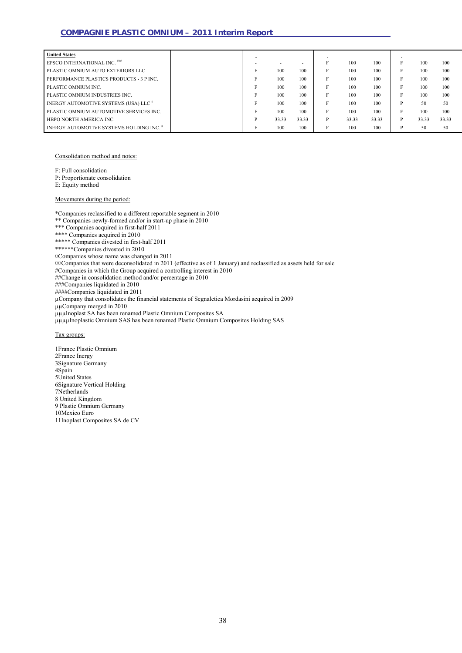| <b>United States</b>                             |       |       |   |       |       |       |       |
|--------------------------------------------------|-------|-------|---|-------|-------|-------|-------|
| EPSCO INTERNATIONAL INC. ###                     |       |       |   | 100   | 100   | 100   | 100   |
| PLASTIC OMNIUM AUTO EXTERIORS LLC                | 100   | 100   |   | 100   | 100   | 100   | 100   |
| PERFORMANCE PLASTICS PRODUCTS - 3 P INC.         | 100   | 100   |   | 100   | 100   | 100   | 100   |
| PLASTIC OMNIUM INC.                              | 100   | 100   |   | 100   | 100   | 100   | 100   |
| PLASTIC OMNIUM INDUSTRIES INC.                   | 100   | 100   |   | 100   | 100   | 100   | 100   |
| INERGY AUTOMOTIVE SYSTEMS (USA) LLC <sup>#</sup> | 100   | 100   |   | 100   | 100   | 50    | 50    |
| PLASTIC OMNIUM AUTOMOTIVE SERVICES INC.          | 100   | 100   | F | 100   | 100   | 100   | 100   |
| HBPO NORTH AMERICA INC.                          | 33.33 | 33.33 | P | 33.33 | 33.33 | 33.33 | 33.33 |
| INERGY AUTOMOTIVE SYSTEMS HOLDING INC. #         | 100   | 100   |   | 100   | 100   | 50    | 50    |

#### Consolidation method and notes:

F: Full consolidation

P: Proportionate consolidation

E: Equity method

Movements during the period:

\*Companies reclassified to a different reportable segment in 2010 \*\* Companies newly-formed and/or in start-up phase in 2010 \*\*\* Companies acquired in first-half 2011 \*\*\*\* Companies acquired in 2010 \*\*\*\*\* Companies divested in first-half 2011 \*\*\*\*\*\*\*Companies divested in 2010 ¤Companies whose name was changed in 2011 ¤¤Companies that were deconsolidated in 2011 (effective as of 1 January) and reclassified as assets held for sale #Companies in which the Group acquired a controlling interest in 2010 ##Change in consolidation method and/or percentage in 2010 ###Companies liquidated in 2010 ####Companies liquidated in 2011 µCompany that consolidates the financial statements of Segnaletica Mordasini acquired in 2009 µµCompany merged in 2010 µµµInoplast SA has been renamed Plastic Omnium Composites SA µµµµInoplastic Omnium SAS has been renamed Plastic Omnium Composites Holding SAS

Tax groups:

1France Plastic Omnium 2France Inergy 3Signature Germany 4Spain 5United States 6Signature Vertical Holding 7Netherlands 8 United Kingdom 9 Plastic Omnium Germany 10Mexico Euro 11Inoplast Composites SA de CV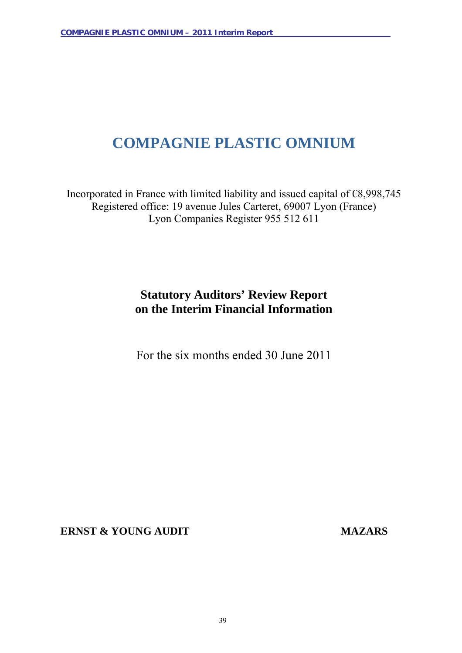# **COMPAGNIE PLASTIC OMNIUM**

Incorporated in France with limited liability and issued capital of  $€8,998,745$ Registered office: 19 avenue Jules Carteret, 69007 Lyon (France) Lyon Companies Register 955 512 611

# **Statutory Auditors' Review Report on the Interim Financial Information**

For the six months ended 30 June 2011

**ERNST & YOUNG AUDIT MAZARS**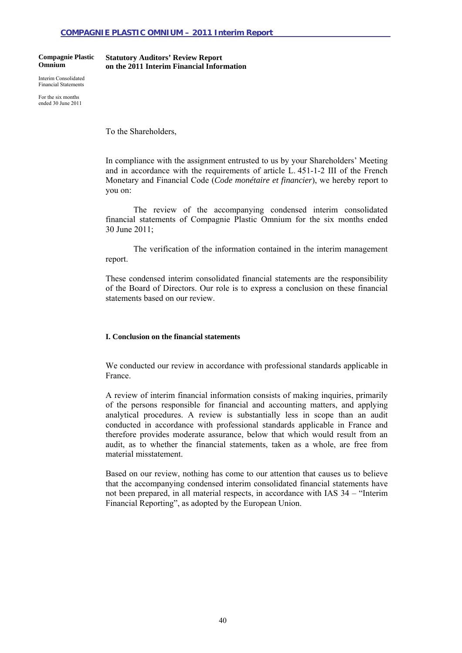#### **Compagnie Plastic Omnium**

**Statutory Auditors' Review Report on the 2011 Interim Financial Information** 

Interim Consolidated Financial Statements

For the six months ended 30 June 2011

To the Shareholders,

In compliance with the assignment entrusted to us by your Shareholders' Meeting and in accordance with the requirements of article L. 451-1-2 III of the French Monetary and Financial Code (*Code monétaire et financier*), we hereby report to you on:

The review of the accompanying condensed interim consolidated financial statements of Compagnie Plastic Omnium for the six months ended 30 June 2011;

The verification of the information contained in the interim management report.

These condensed interim consolidated financial statements are the responsibility of the Board of Directors. Our role is to express a conclusion on these financial statements based on our review.

#### **I. Conclusion on the financial statements**

We conducted our review in accordance with professional standards applicable in France.

A review of interim financial information consists of making inquiries, primarily of the persons responsible for financial and accounting matters, and applying analytical procedures. A review is substantially less in scope than an audit conducted in accordance with professional standards applicable in France and therefore provides moderate assurance, below that which would result from an audit, as to whether the financial statements, taken as a whole, are free from material misstatement.

Based on our review, nothing has come to our attention that causes us to believe that the accompanying condensed interim consolidated financial statements have not been prepared, in all material respects, in accordance with IAS 34 – "Interim Financial Reporting", as adopted by the European Union.